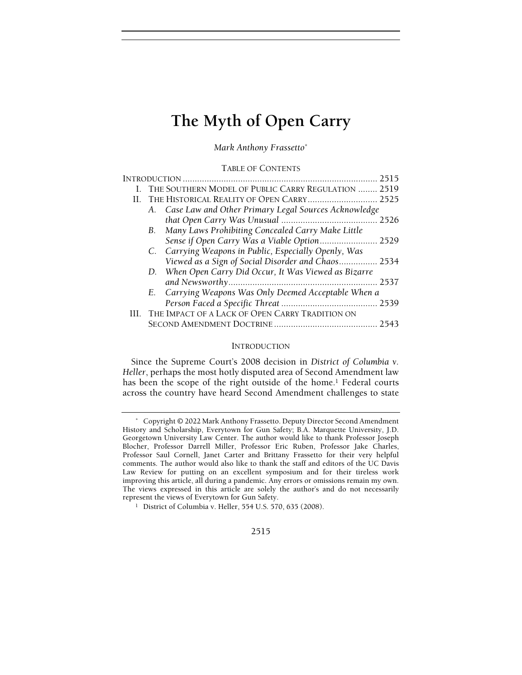Mark Anthony Frassetto\*

TABLE OF CONTENTS

|    |                                           | I. THE SOUTHERN MODEL OF PUBLIC CARRY REGULATION  2519  |      |
|----|-------------------------------------------|---------------------------------------------------------|------|
| H. | THE HISTORICAL REALITY OF OPEN CARRY 2525 |                                                         |      |
|    |                                           | A. Case Law and Other Primary Legal Sources Acknowledge |      |
|    |                                           |                                                         |      |
|    |                                           | B. Many Laws Prohibiting Concealed Carry Make Little    |      |
|    |                                           | Sense if Open Carry Was a Viable Option 2529            |      |
|    |                                           | C. Carrying Weapons in Public, Especially Openly, Was   |      |
|    |                                           | Viewed as a Sign of Social Disorder and Chaos 2534      |      |
|    |                                           | D. When Open Carry Did Occur, It Was Viewed as Bizarre  |      |
|    |                                           |                                                         |      |
|    |                                           | E. Carrying Weapons Was Only Deemed Acceptable When a   |      |
|    |                                           |                                                         |      |
|    |                                           | III. THE IMPACT OF A LACK OF OPEN CARRY TRADITION ON    |      |
|    |                                           |                                                         | 2543 |
|    |                                           |                                                         |      |

#### INTRODUCTION

Since the Supreme Court's 2008 decision in District of Columbia v. Heller, perhaps the most hotly disputed area of Second Amendment law has been the scope of the right outside of the home.<sup>1</sup> Federal courts across the country have heard Second Amendment challenges to state

#### 2515

 <sup>\*</sup> Copyright © 2022 Mark Anthony Frassetto. Deputy Director Second Amendment History and Scholarship, Everytown for Gun Safety; B.A. Marquette University, J.D. Georgetown University Law Center. The author would like to thank Professor Joseph Blocher, Professor Darrell Miller, Professor Eric Ruben, Professor Jake Charles, Professor Saul Cornell, Janet Carter and Brittany Frassetto for their very helpful comments. The author would also like to thank the staff and editors of the UC Davis Law Review for putting on an excellent symposium and for their tireless work improving this article, all during a pandemic. Any errors or omissions remain my own. The views expressed in this article are solely the author's and do not necessarily represent the views of Everytown for Gun Safety.

<sup>1</sup> District of Columbia v. Heller, 554 U.S. 570, 635 (2008).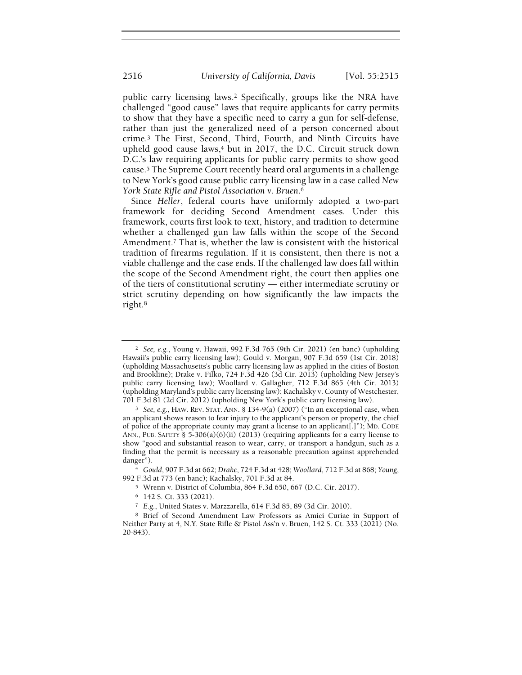public carry licensing laws.<sup>2</sup> Specifically, groups like the NRA have challenged "good cause" laws that require applicants for carry permits to show that they have a specific need to carry a gun for self-defense, rather than just the generalized need of a person concerned about crime.<sup>3</sup> The First, Second, Third, Fourth, and Ninth Circuits have upheld good cause laws,<sup>4</sup> but in 2017, the D.C. Circuit struck down D.C.'s law requiring applicants for public carry permits to show good cause.<sup>5</sup> The Supreme Court recently heard oral arguments in a challenge to New York's good cause public carry licensing law in a case called New York State Rifle and Pistol Association v. Bruen.<sup>6</sup>

Since Heller, federal courts have uniformly adopted a two-part framework for deciding Second Amendment cases. Under this framework, courts first look to text, history, and tradition to determine whether a challenged gun law falls within the scope of the Second Amendment.<sup>7</sup> That is, whether the law is consistent with the historical tradition of firearms regulation. If it is consistent, then there is not a viable challenge and the case ends. If the challenged law does fall within the scope of the Second Amendment right, the court then applies one of the tiers of constitutional scrutiny — either intermediate scrutiny or strict scrutiny depending on how significantly the law impacts the right.<sup>8</sup>

<sup>2</sup> See, e.g., Young v. Hawaii, 992 F.3d 765 (9th Cir. 2021) (en banc) (upholding Hawaii's public carry licensing law); Gould v. Morgan, 907 F.3d 659 (1st Cir. 2018) (upholding Massachusetts's public carry licensing law as applied in the cities of Boston and Brookline); Drake v. Filko, 724 F.3d 426 (3d Cir. 2013) (upholding New Jersey's public carry licensing law); Woollard v. Gallagher, 712 F.3d 865 (4th Cir. 2013) (upholding Maryland's public carry licensing law); Kachalsky v. County of Westchester, 701 F.3d 81 (2d Cir. 2012) (upholding New York's public carry licensing law).

<sup>&</sup>lt;sup>3</sup> See, e.g., HAW. REV. STAT. ANN. § 134-9(a) (2007) ("In an exceptional case, when an applicant shows reason to fear injury to the applicant's person or property, the chief of police of the appropriate county may grant a license to an applicant[.]"); MD. CODE ANN., PUB. SAFETY § 5-306(a)(6)(ii) (2013) (requiring applicants for a carry license to show "good and substantial reason to wear, carry, or transport a handgun, such as a finding that the permit is necessary as a reasonable precaution against apprehended danger").

<sup>4</sup> Gould, 907 F.3d at 662; Drake, 724 F.3d at 428; Woollard, 712 F.3d at 868; Young, 992 F.3d at 773 (en banc); Kachalsky, 701 F.3d at 84.

<sup>5</sup> Wrenn v. District of Columbia, 864 F.3d 650, 667 (D.C. Cir. 2017).

<sup>6</sup> 142 S. Ct. 333 (2021).

<sup>7</sup> E.g., United States v. Marzzarella, 614 F.3d 85, 89 (3d Cir. 2010).

<sup>8</sup> Brief of Second Amendment Law Professors as Amici Curiae in Support of Neither Party at 4, N.Y. State Rifle & Pistol Ass'n v. Bruen, 142 S. Ct. 333 (2021) (No. 20-843).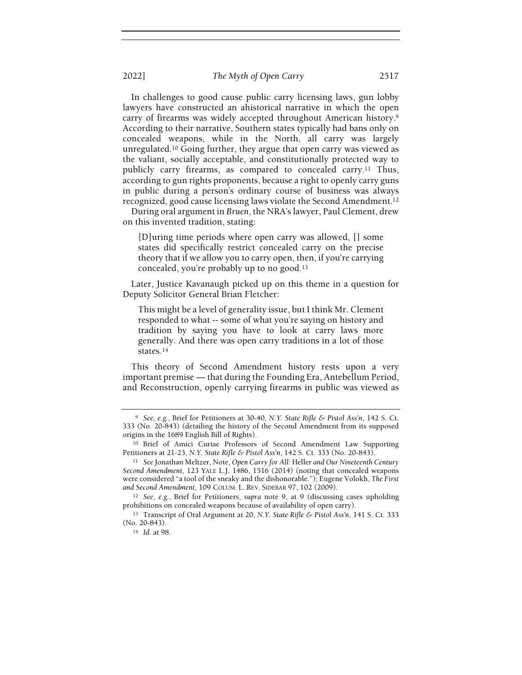In challenges to good cause public carry licensing laws, gun lobby lawyers have constructed an ahistorical narrative in which the open carry of firearms was widely accepted throughout American history.<sup>9</sup> According to their narrative, Southern states typically had bans only on concealed weapons, while in the North, all carry was largely unregulated.<sup>10</sup> Going further, they argue that open carry was viewed as the valiant, socially acceptable, and constitutionally protected way to publicly carry firearms, as compared to concealed carry.<sup>11</sup> Thus, according to gun rights proponents, because a right to openly carry guns in public during a person's ordinary course of business was always recognized, good cause licensing laws violate the Second Amendment.<sup>12</sup>

During oral argument in Bruen, the NRA's lawyer, Paul Clement, drew on this invented tradition, stating:

[D]uring time periods where open carry was allowed, [] some states did specifically restrict concealed carry on the precise theory that if we allow you to carry open, then, if you're carrying concealed, you're probably up to no good.<sup>13</sup>

Later, Justice Kavanaugh picked up on this theme in a question for Deputy Solicitor General Brian Fletcher:

This might be a level of generality issue, but I think Mr. Clement responded to what -- some of what you're saying on history and tradition by saying you have to look at carry laws more generally. And there was open carry traditions in a lot of those states.<sup>14</sup>

This theory of Second Amendment history rests upon a very important premise — that during the Founding Era, Antebellum Period, and Reconstruction, openly carrying firearms in public was viewed as

<sup>&</sup>lt;sup>9</sup> See, e.g., Brief for Petitioners at 30-40, N.Y. State Rifle & Pistol Ass'n, 142 S. Ct. 333 (No. 20-843) (detailing the history of the Second Amendment from its supposed origins in the 1689 English Bill of Rights).

<sup>10</sup> Brief of Amici Curiae Professors of Second Amendment Law Supporting Petitioners at 21-23, N.Y. State Rifle & Pistol Ass'n, 142 S. Ct. 333 (No. 20-843).

<sup>&</sup>lt;sup>11</sup> See Jonathan Meltzer, Note, Open Carry for All: Heller and Our Nineteenth Century Second Amendment, 123 YALE L.J. 1486, 1516 (2014) (noting that concealed weapons were considered "a tool of the sneaky and the dishonorable."); Eugene Volokh, The First and Second Amendment, 109 COLUM. L. REV. SIDEBAR 97, 102 (2009).

<sup>12</sup> See, e.g., Brief for Petitioners, supra note 9, at 9 (discussing cases upholding prohibitions on concealed weapons because of availability of open carry).

<sup>13</sup> Transcript of Oral Argument at 20, N.Y. State Rifle & Pistol Ass'n, 141 S. Ct. 333 (No. 20-843).

<sup>14</sup> Id. at 98.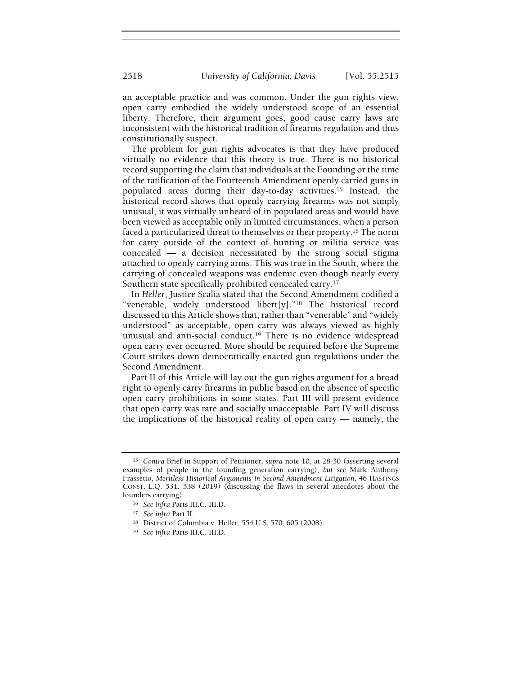an acceptable practice and was common. Under the gun rights view, open carry embodied the widely understood scope of an essential liberty. Therefore, their argument goes, good cause carry laws are inconsistent with the historical tradition of firearms regulation and thus constitutionally suspect.

The problem for gun rights advocates is that they have produced virtually no evidence that this theory is true. There is no historical record supporting the claim that individuals at the Founding or the time of the ratification of the Fourteenth Amendment openly carried guns in populated areas during their day-to-day activities.<sup>15</sup> Instead, the historical record shows that openly carrying firearms was not simply unusual, it was virtually unheard of in populated areas and would have been viewed as acceptable only in limited circumstances, when a person faced a particularized threat to themselves or their property.<sup>16</sup> The norm for carry outside of the context of hunting or militia service was concealed — a decision necessitated by the strong social stigma attached to openly carrying arms. This was true in the South, where the carrying of concealed weapons was endemic even though nearly every Southern state specifically prohibited concealed carry.<sup>17</sup>

In Heller, Justice Scalia stated that the Second Amendment codified a "venerable, widely understood libert[y]."<sup>18</sup> The historical record discussed in this Article shows that, rather than "venerable" and "widely understood" as acceptable, open carry was always viewed as highly unusual and anti-social conduct.<sup>19</sup> There is no evidence widespread open carry ever occurred. More should be required before the Supreme Court strikes down democratically enacted gun regulations under the Second Amendment.

Part II of this Article will lay out the gun rights argument for a broad right to openly carry firearms in public based on the absence of specific open carry prohibitions in some states. Part III will present evidence that open carry was rare and socially unacceptable. Part IV will discuss the implications of the historical reality of open carry — namely, the

<sup>15</sup> Contra Brief in Support of Petitioner, supra note 10, at 28-30 (asserting several examples of people in the founding generation carrying); but see Mark Anthony Frassetto, Meritless Historical Arguments in Second Amendment Litigation, 46 HASTINGS CONST. L.Q. 531, 538 (2019) (discussing the flaws in several anecdotes about the founders carrying).

<sup>16</sup> See infra Parts III.C, III.D.

<sup>17</sup> See infra Part II.

<sup>18</sup> District of Columbia v. Heller, 554 U.S. 570, 605 (2008).

<sup>19</sup> See infra Parts III.C, III.D.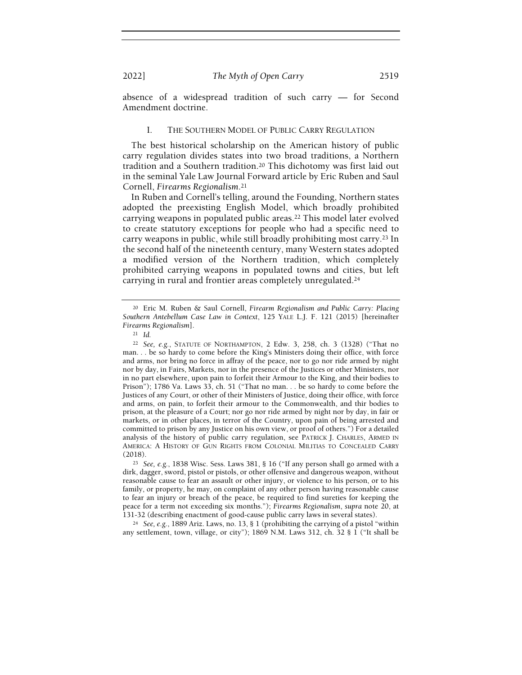absence of a widespread tradition of such carry — for Second Amendment doctrine.

#### I. THE SOUTHERN MODEL OF PUBLIC CARRY REGULATION

The best historical scholarship on the American history of public carry regulation divides states into two broad traditions, a Northern tradition and a Southern tradition.<sup>20</sup> This dichotomy was first laid out in the seminal Yale Law Journal Forward article by Eric Ruben and Saul Cornell, Firearms Regionalism.<sup>21</sup>

In Ruben and Cornell's telling, around the Founding, Northern states adopted the preexisting English Model, which broadly prohibited carrying weapons in populated public areas.<sup>22</sup> This model later evolved to create statutory exceptions for people who had a specific need to carry weapons in public, while still broadly prohibiting most carry.<sup>23</sup> In the second half of the nineteenth century, many Western states adopted a modified version of the Northern tradition, which completely prohibited carrying weapons in populated towns and cities, but left carrying in rural and frontier areas completely unregulated.<sup>24</sup>

<sup>24</sup> See, e.g., 1889 Ariz. Laws, no. 13, § 1 (prohibiting the carrying of a pistol "within any settlement, town, village, or city"); 1869 N.M. Laws 312, ch. 32 § 1 ("It shall be

<sup>20</sup> Eric M. Ruben & Saul Cornell, Firearm Regionalism and Public Carry: Placing Southern Antebellum Case Law in Context, 125 YALE L.J. F. 121 (2015) [hereinafter Firearms Regionalism].

<sup>21</sup> Id.

<sup>22</sup> See, e.g., STATUTE OF NORTHAMPTON, 2 Edw. 3, 258, ch. 3 (1328) ("That no man. . . be so hardy to come before the King's Ministers doing their office, with force and arms, nor bring no force in affray of the peace, nor to go nor ride armed by night nor by day, in Fairs, Markets, nor in the presence of the Justices or other Ministers, nor in no part elsewhere, upon pain to forfeit their Armour to the King, and their bodies to Prison"); 1786 Va. Laws 33, ch. 51 ("That no man. . . be so hardy to come before the Justices of any Court, or other of their Ministers of Justice, doing their office, with force and arms, on pain, to forfeit their armour to the Commonwealth, and thir bodies to prison, at the pleasure of a Court; nor go nor ride armed by night nor by day, in fair or markets, or in other places, in terror of the Country, upon pain of being arrested and committed to prison by any Justice on his own view, or proof of others.") For a detailed analysis of the history of public carry regulation, see PATRICK J. CHARLES, ARMED IN AMERICA: A HISTORY OF GUN RIGHTS FROM COLONIAL MILITIAS TO CONCEALED CARRY (2018).

<sup>23</sup> See, e.g., 1838 Wisc. Sess. Laws 381, § 16 ("If any person shall go armed with a dirk, dagger, sword, pistol or pistols, or other offensive and dangerous weapon, without reasonable cause to fear an assault or other injury, or violence to his person, or to his family, or property, he may, on complaint of any other person having reasonable cause to fear an injury or breach of the peace, be required to find sureties for keeping the peace for a term not exceeding six months."); Firearms Regionalism, supra note 20, at 131-32 (describing enactment of good-cause public carry laws in several states).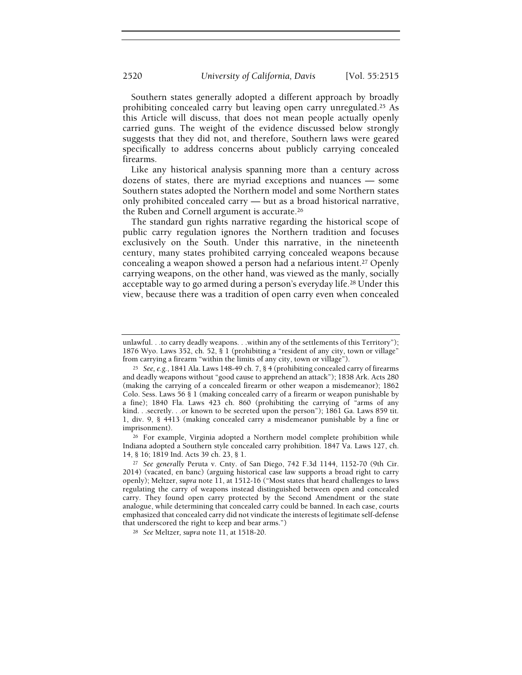Southern states generally adopted a different approach by broadly prohibiting concealed carry but leaving open carry unregulated.<sup>25</sup> As this Article will discuss, that does not mean people actually openly carried guns. The weight of the evidence discussed below strongly suggests that they did not, and therefore, Southern laws were geared specifically to address concerns about publicly carrying concealed firearms.

Like any historical analysis spanning more than a century across dozens of states, there are myriad exceptions and nuances — some Southern states adopted the Northern model and some Northern states only prohibited concealed carry — but as a broad historical narrative, the Ruben and Cornell argument is accurate.<sup>26</sup>

The standard gun rights narrative regarding the historical scope of public carry regulation ignores the Northern tradition and focuses exclusively on the South. Under this narrative, in the nineteenth century, many states prohibited carrying concealed weapons because concealing a weapon showed a person had a nefarious intent.<sup>27</sup> Openly carrying weapons, on the other hand, was viewed as the manly, socially acceptable way to go armed during a person's everyday life.<sup>28</sup> Under this view, because there was a tradition of open carry even when concealed

<sup>26</sup> For example, Virginia adopted a Northern model complete prohibition while Indiana adopted a Southern style concealed carry prohibition. 1847 Va. Laws 127, ch. 14, § 16; 1819 Ind. Acts 39 ch. 23, § 1.

unlawful. . .to carry deadly weapons. . .within any of the settlements of this Territory"); 1876 Wyo. Laws 352, ch. 52, § 1 (prohibiting a "resident of any city, town or village" from carrying a firearm "within the limits of any city, town or village").

<sup>&</sup>lt;sup>25</sup> See, e.g., 1841 Ala. Laws 148-49 ch. 7, § 4 (prohibiting concealed carry of firearms and deadly weapons without "good cause to apprehend an attack"); 1838 Ark. Acts 280 (making the carrying of a concealed firearm or other weapon a misdemeanor); 1862 Colo. Sess. Laws 56 § 1 (making concealed carry of a firearm or weapon punishable by a fine); 1840 Fla. Laws 423 ch. 860 (prohibiting the carrying of "arms of any kind. . .secretly. . .or known to be secreted upon the person"); 1861 Ga. Laws 859 tit. 1, div. 9, § 4413 (making concealed carry a misdemeanor punishable by a fine or imprisonment).

<sup>&</sup>lt;sup>27</sup> See generally Peruta v. Cnty. of San Diego, 742 F.3d 1144, 1152-70 (9th Cir. 2014) (vacated, en banc) (arguing historical case law supports a broad right to carry openly); Meltzer, supra note 11, at 1512-16 ("Most states that heard challenges to laws regulating the carry of weapons instead distinguished between open and concealed carry. They found open carry protected by the Second Amendment or the state analogue, while determining that concealed carry could be banned. In each case, courts emphasized that concealed carry did not vindicate the interests of legitimate self-defense that underscored the right to keep and bear arms.")

<sup>28</sup> See Meltzer, supra note 11, at 1518-20.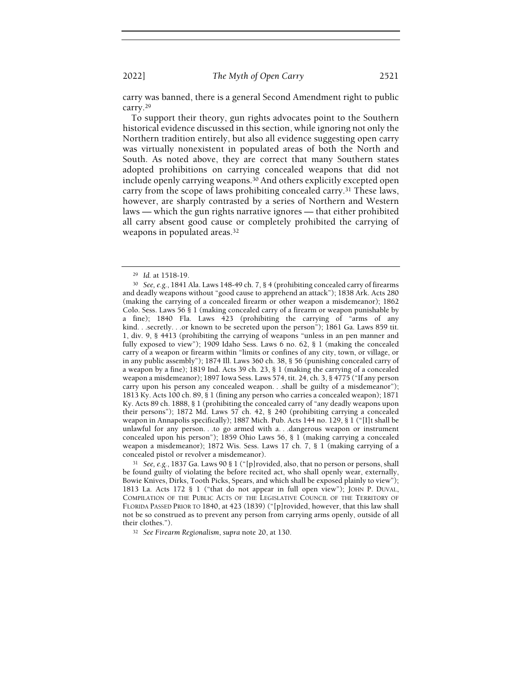carry was banned, there is a general Second Amendment right to public carry.<sup>29</sup>

To support their theory, gun rights advocates point to the Southern historical evidence discussed in this section, while ignoring not only the Northern tradition entirely, but also all evidence suggesting open carry was virtually nonexistent in populated areas of both the North and South. As noted above, they are correct that many Southern states adopted prohibitions on carrying concealed weapons that did not include openly carrying weapons.<sup>30</sup> And others explicitly excepted open carry from the scope of laws prohibiting concealed carry.<sup>31</sup> These laws, however, are sharply contrasted by a series of Northern and Western laws — which the gun rights narrative ignores — that either prohibited all carry absent good cause or completely prohibited the carrying of weapons in populated areas.<sup>32</sup>

<sup>29</sup> Id. at 1518-19.

<sup>30</sup> See, e.g., 1841 Ala. Laws 148-49 ch. 7, § 4 (prohibiting concealed carry of firearms and deadly weapons without "good cause to apprehend an attack"); 1838 Ark. Acts 280 (making the carrying of a concealed firearm or other weapon a misdemeanor); 1862 Colo. Sess. Laws 56 § 1 (making concealed carry of a firearm or weapon punishable by a fine); 1840 Fla. Laws  $\overline{4}23$  (prohibiting the carrying of "arms of any kind. . .secretly. . .or known to be secreted upon the person"); 1861 Ga. Laws 859 tit. 1, div. 9, § 4413 (prohibiting the carrying of weapons "unless in an pen manner and fully exposed to view"); 1909 Idaho Sess. Laws 6 no. 62, § 1 (making the concealed carry of a weapon or firearm within "limits or confines of any city, town, or village, or in any public assembly"); 1874 Ill. Laws 360 ch. 38, § 56 (punishing concealed carry of a weapon by a fine); 1819 Ind. Acts 39 ch. 23, § 1 (making the carrying of a concealed weapon a misdemeanor); 1897 Iowa Sess. Laws 574, tit. 24, ch. 3, § 4775 ("If any person carry upon his person any concealed weapon. . .shall be guilty of a misdemeanor"); 1813 Ky. Acts 100 ch. 89, § 1 (fining any person who carries a concealed weapon); 1871 Ky. Acts 89 ch. 1888, § 1 (prohibiting the concealed carry of "any deadly weapons upon their persons"); 1872 Md. Laws 57 ch. 42, § 240 (prohibiting carrying a concealed weapon in Annapolis specifically); 1887 Mich. Pub. Acts 144 no. 129, § 1 ("[I]t shall be unlawful for any person. . .to go armed with a. . .dangerous weapon or instrument concealed upon his person"); 1859 Ohio Laws 56, § 1 (making carrying a concealed weapon a misdemeanor); 1872 Wis. Sess. Laws 17 ch. 7, § 1 (making carrying of a concealed pistol or revolver a misdemeanor).

<sup>31</sup> See, e.g., 1837 Ga. Laws 90 § 1 ("[p]rovided, also, that no person or persons, shall be found guilty of violating the before recited act, who shall openly wear, externally, Bowie Knives, Dirks, Tooth Picks, Spears, and which shall be exposed plainly to view"); 1813 La. Acts 172 § 1 ("that do not appear in full open view"); JOHN P. DUVAL, COMPILATION OF THE PUBLIC ACTS OF THE LEGISLATIVE COUNCIL OF THE TERRITORY OF FLORIDA PASSED PRIOR TO 1840, at 423 (1839) ("[p]rovided, however, that this law shall not be so construed as to prevent any person from carrying arms openly, outside of all their clothes.").

<sup>&</sup>lt;sup>32</sup> See Firearm Regionalism, supra note 20, at 130.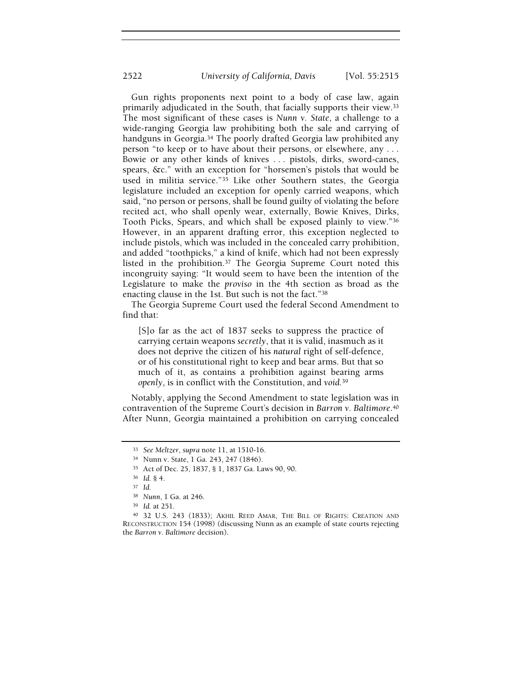Gun rights proponents next point to a body of case law, again primarily adjudicated in the South, that facially supports their view.<sup>33</sup> The most significant of these cases is Nunn v. State, a challenge to a wide-ranging Georgia law prohibiting both the sale and carrying of handguns in Georgia.<sup>34</sup> The poorly drafted Georgia law prohibited any person "to keep or to have about their persons, or elsewhere, any . . . Bowie or any other kinds of knives . . . pistols, dirks, sword-canes, spears, &c." with an exception for "horsemen's pistols that would be used in militia service."<sup>35</sup> Like other Southern states, the Georgia legislature included an exception for openly carried weapons, which said, "no person or persons, shall be found guilty of violating the before recited act, who shall openly wear, externally, Bowie Knives, Dirks, Tooth Picks, Spears, and which shall be exposed plainly to view."<sup>36</sup> However, in an apparent drafting error, this exception neglected to include pistols, which was included in the concealed carry prohibition, and added "toothpicks," a kind of knife, which had not been expressly listed in the prohibition.<sup>37</sup> The Georgia Supreme Court noted this incongruity saying: "It would seem to have been the intention of the Legislature to make the proviso in the 4th section as broad as the enacting clause in the 1st. But such is not the fact."<sup>38</sup>

The Georgia Supreme Court used the federal Second Amendment to find that:

[S]o far as the act of 1837 seeks to suppress the practice of carrying certain weapons secretly, that it is valid, inasmuch as it does not deprive the citizen of his natural right of self-defence, or of his constitutional right to keep and bear arms. But that so much of it, as contains a prohibition against bearing arms openly, is in conflict with the Constitution, and void.<sup>39</sup>

Notably, applying the Second Amendment to state legislation was in contravention of the Supreme Court's decision in Barron v. Baltimore.<sup>40</sup> After Nunn, Georgia maintained a prohibition on carrying concealed

<sup>33</sup> See Meltzer, supra note 11, at 1510-16.

<sup>34</sup> Nunn v. State, 1 Ga. 243, 247 (1846).

<sup>35</sup> Act of Dec. 25, 1837, § 1, 1837 Ga. Laws 90, 90.

<sup>36</sup> Id. § 4.

<sup>37</sup> Id.

<sup>38</sup> Nunn, 1 Ga. at 246.

<sup>39</sup> Id. at 251.

<sup>40</sup> 32 U.S. 243 (1833); AKHIL REED AMAR, THE BILL OF RIGHTS: CREATION AND RECONSTRUCTION 154 (1998) (discussing Nunn as an example of state courts rejecting the Barron v. Baltimore decision).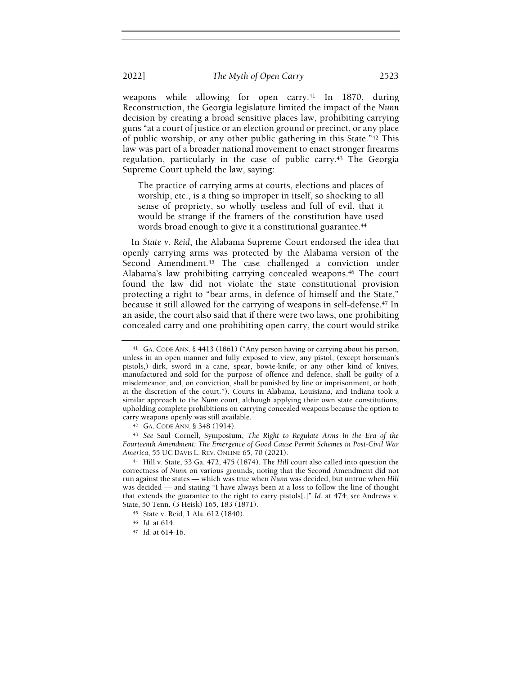weapons while allowing for open carry.<sup>41</sup> In 1870, during Reconstruction, the Georgia legislature limited the impact of the Nunn decision by creating a broad sensitive places law, prohibiting carrying guns "at a court of justice or an election ground or precinct, or any place of public worship, or any other public gathering in this State."<sup>42</sup> This law was part of a broader national movement to enact stronger firearms regulation, particularly in the case of public carry.<sup>43</sup> The Georgia Supreme Court upheld the law, saying:

The practice of carrying arms at courts, elections and places of worship, etc., is a thing so improper in itself, so shocking to all sense of propriety, so wholly useless and full of evil, that it would be strange if the framers of the constitution have used words broad enough to give it a constitutional guarantee.<sup>44</sup>

In State v. Reid, the Alabama Supreme Court endorsed the idea that openly carrying arms was protected by the Alabama version of the Second Amendment.<sup>45</sup> The case challenged a conviction under Alabama's law prohibiting carrying concealed weapons.<sup>46</sup> The court found the law did not violate the state constitutional provision protecting a right to "bear arms, in defence of himself and the State," because it still allowed for the carrying of weapons in self-defense.<sup>47</sup> In an aside, the court also said that if there were two laws, one prohibiting concealed carry and one prohibiting open carry, the court would strike

<sup>43</sup> See Saul Cornell, Symposium, The Right to Regulate Arms in the Era of the Fourteenth Amendment: The Emergence of Good Cause Permit Schemes in Post-Civil War America, 55 UC DAVIS L. REV. ONLINE 65, 70 (2021).

<sup>44</sup> Hill v. State, 53 Ga. 472, 475 (1874). The Hill court also called into question the correctness of Nunn on various grounds, noting that the Second Amendment did not run against the states — which was true when Nunn was decided, but untrue when Hill was decided — and stating "I have always been at a loss to follow the line of thought that extends the guarantee to the right to carry pistols[.]" Id. at 474; see Andrews v. State, 50 Tenn. (3 Heisk) 165, 183 (1871).

<sup>41</sup> GA. CODE ANN. § 4413 (1861) ("Any person having or carrying about his person, unless in an open manner and fully exposed to view, any pistol, (except horseman's pistols,) dirk, sword in a cane, spear, bowie-knife, or any other kind of knives, manufactured and sold for the purpose of offence and defence, shall be guilty of a misdemeanor, and, on conviction, shall be punished by fine or imprisonment, or both, at the discretion of the court."). Courts in Alabama, Louisiana, and Indiana took a similar approach to the Nunn court, although applying their own state constitutions, upholding complete prohibitions on carrying concealed weapons because the option to carry weapons openly was still available.

<sup>42</sup> GA. CODE ANN. § 348 (1914).

<sup>45</sup> State v. Reid, 1 Ala. 612 (1840).

<sup>46</sup> Id. at 614.

<sup>47</sup> Id. at 614-16.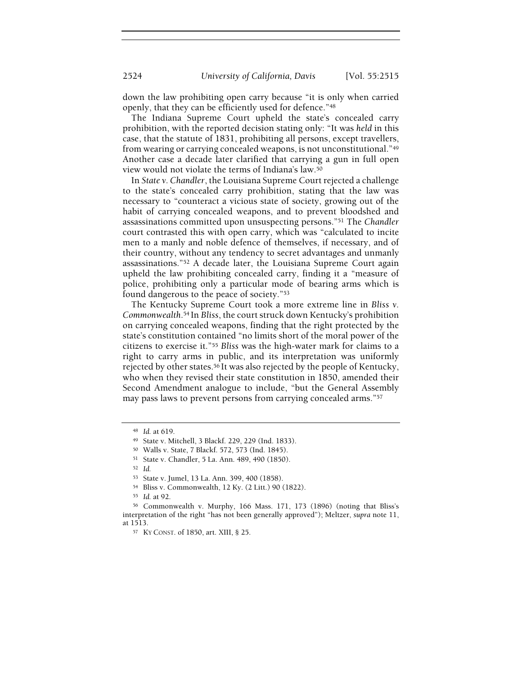down the law prohibiting open carry because "it is only when carried openly, that they can be efficiently used for defence."<sup>48</sup>

The Indiana Supreme Court upheld the state's concealed carry prohibition, with the reported decision stating only: "It was held in this case, that the statute of 1831, prohibiting all persons, except travellers, from wearing or carrying concealed weapons, is not unconstitutional."<sup>49</sup> Another case a decade later clarified that carrying a gun in full open view would not violate the terms of Indiana's law.<sup>50</sup>

In State v. Chandler, the Louisiana Supreme Court rejected a challenge to the state's concealed carry prohibition, stating that the law was necessary to "counteract a vicious state of society, growing out of the habit of carrying concealed weapons, and to prevent bloodshed and assassinations committed upon unsuspecting persons."<sup>51</sup> The Chandler court contrasted this with open carry, which was "calculated to incite men to a manly and noble defence of themselves, if necessary, and of their country, without any tendency to secret advantages and unmanly assassinations."<sup>52</sup> A decade later, the Louisiana Supreme Court again upheld the law prohibiting concealed carry, finding it a "measure of police, prohibiting only a particular mode of bearing arms which is found dangerous to the peace of society."<sup>53</sup>

The Kentucky Supreme Court took a more extreme line in Bliss v. Commonwealth.<sup>54</sup>In Bliss, the court struck down Kentucky's prohibition on carrying concealed weapons, finding that the right protected by the state's constitution contained "no limits short of the moral power of the citizens to exercise it."<sup>55</sup> Bliss was the high-water mark for claims to a right to carry arms in public, and its interpretation was uniformly rejected by other states.<sup>56</sup> It was also rejected by the people of Kentucky, who when they revised their state constitution in 1850, amended their Second Amendment analogue to include, "but the General Assembly may pass laws to prevent persons from carrying concealed arms."<sup>57</sup>

<sup>48</sup> Id. at 619.

<sup>49</sup> State v. Mitchell, 3 Blackf. 229, 229 (Ind. 1833).

<sup>50</sup> Walls v. State, 7 Blackf. 572, 573 (Ind. 1845).

<sup>51</sup> State v. Chandler, 5 La. Ann. 489, 490 (1850).

<sup>52</sup> Id.

<sup>53</sup> State v. Jumel, 13 La. Ann. 399, 400 (1858).

<sup>54</sup> Bliss v. Commonwealth, 12 Ky. (2 Litt.) 90 (1822).

<sup>55</sup> Id. at 92.

<sup>56</sup> Commonwealth v. Murphy, 166 Mass. 171, 173 (1896) (noting that Bliss's interpretation of the right "has not been generally approved"); Meltzer, supra note 11, at 1513.

<sup>57</sup> KY CONST. of 1850, art. XIII, § 25.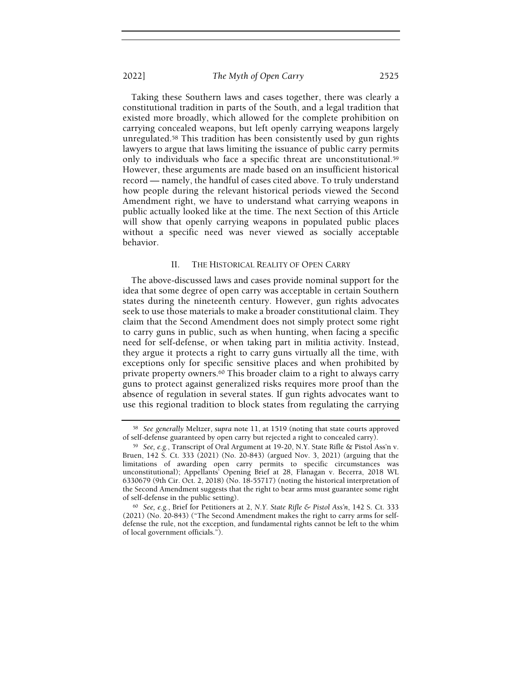Taking these Southern laws and cases together, there was clearly a constitutional tradition in parts of the South, and a legal tradition that existed more broadly, which allowed for the complete prohibition on carrying concealed weapons, but left openly carrying weapons largely unregulated.<sup>58</sup> This tradition has been consistently used by gun rights lawyers to argue that laws limiting the issuance of public carry permits only to individuals who face a specific threat are unconstitutional.<sup>59</sup> However, these arguments are made based on an insufficient historical record — namely, the handful of cases cited above. To truly understand how people during the relevant historical periods viewed the Second Amendment right, we have to understand what carrying weapons in public actually looked like at the time. The next Section of this Article will show that openly carrying weapons in populated public places without a specific need was never viewed as socially acceptable behavior.

#### II. THE HISTORICAL REALITY OF OPEN CARRY

The above-discussed laws and cases provide nominal support for the idea that some degree of open carry was acceptable in certain Southern states during the nineteenth century. However, gun rights advocates seek to use those materials to make a broader constitutional claim. They claim that the Second Amendment does not simply protect some right to carry guns in public, such as when hunting, when facing a specific need for self-defense, or when taking part in militia activity. Instead, they argue it protects a right to carry guns virtually all the time, with exceptions only for specific sensitive places and when prohibited by private property owners.<sup>60</sup> This broader claim to a right to always carry guns to protect against generalized risks requires more proof than the absence of regulation in several states. If gun rights advocates want to use this regional tradition to block states from regulating the carrying

<sup>58</sup> See generally Meltzer, supra note 11, at 1519 (noting that state courts approved of self-defense guaranteed by open carry but rejected a right to concealed carry).

<sup>59</sup> See, e.g., Transcript of Oral Argument at 19-20, N.Y. State Rifle & Pistol Ass'n v. Bruen, 142 S. Ct. 333 (2021) (No. 20-843) (argued Nov. 3, 2021) (arguing that the limitations of awarding open carry permits to specific circumstances was unconstitutional); Appellants' Opening Brief at 28, Flanagan v. Becerra, 2018 WL 6330679 (9th Cir. Oct. 2, 2018) (No. 18-55717) (noting the historical interpretation of the Second Amendment suggests that the right to bear arms must guarantee some right of self-defense in the public setting).

<sup>60</sup> See, e.g., Brief for Petitioners at 2, N.Y. State Rifle & Pistol Ass'n, 142 S. Ct. 333 (2021) (No. 20-843) ("The Second Amendment makes the right to carry arms for selfdefense the rule, not the exception, and fundamental rights cannot be left to the whim of local government officials.").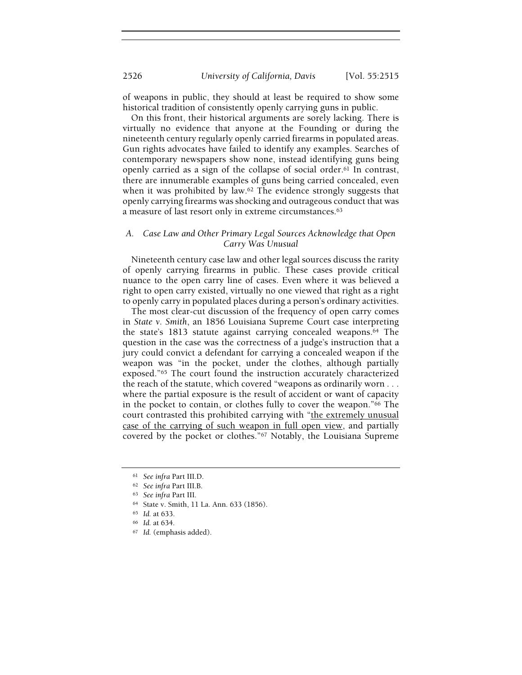of weapons in public, they should at least be required to show some historical tradition of consistently openly carrying guns in public.

On this front, their historical arguments are sorely lacking. There is virtually no evidence that anyone at the Founding or during the nineteenth century regularly openly carried firearms in populated areas. Gun rights advocates have failed to identify any examples. Searches of contemporary newspapers show none, instead identifying guns being openly carried as a sign of the collapse of social order.<sup>61</sup> In contrast, there are innumerable examples of guns being carried concealed, even when it was prohibited by law.<sup>62</sup> The evidence strongly suggests that openly carrying firearms was shocking and outrageous conduct that was a measure of last resort only in extreme circumstances.<sup>63</sup>

# A. Case Law and Other Primary Legal Sources Acknowledge that Open Carry Was Unusual

Nineteenth century case law and other legal sources discuss the rarity of openly carrying firearms in public. These cases provide critical nuance to the open carry line of cases. Even where it was believed a right to open carry existed, virtually no one viewed that right as a right to openly carry in populated places during a person's ordinary activities.

The most clear-cut discussion of the frequency of open carry comes in State v. Smith, an 1856 Louisiana Supreme Court case interpreting the state's 1813 statute against carrying concealed weapons.<sup>64</sup> The question in the case was the correctness of a judge's instruction that a jury could convict a defendant for carrying a concealed weapon if the weapon was "in the pocket, under the clothes, although partially exposed."<sup>65</sup> The court found the instruction accurately characterized the reach of the statute, which covered "weapons as ordinarily worn . . . where the partial exposure is the result of accident or want of capacity in the pocket to contain, or clothes fully to cover the weapon."<sup>66</sup> The court contrasted this prohibited carrying with "the extremely unusual case of the carrying of such weapon in full open view, and partially covered by the pocket or clothes."<sup>67</sup> Notably, the Louisiana Supreme

<sup>61</sup> See infra Part III.D.

<sup>62</sup> See infra Part III.B.

<sup>63</sup> See infra Part III.

<sup>64</sup> State v. Smith, 11 La. Ann. 633 (1856).

<sup>65</sup> Id. at 633.

<sup>66</sup> Id. at 634.

<sup>67</sup> Id. (emphasis added).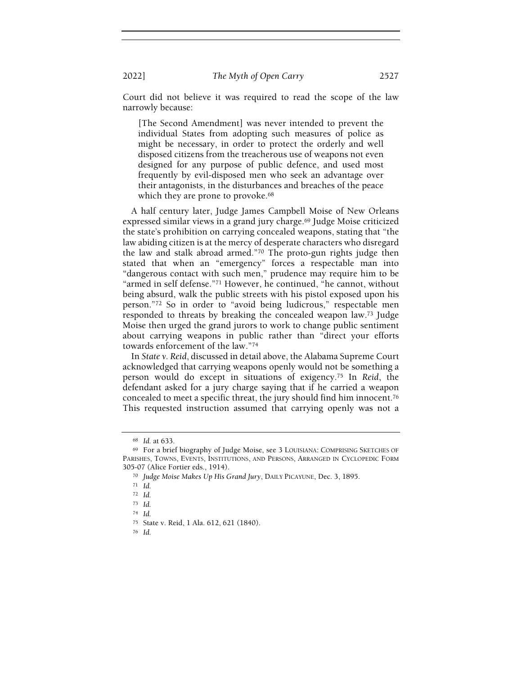Court did not believe it was required to read the scope of the law narrowly because:

[The Second Amendment] was never intended to prevent the individual States from adopting such measures of police as might be necessary, in order to protect the orderly and well disposed citizens from the treacherous use of weapons not even designed for any purpose of public defence, and used most frequently by evil-disposed men who seek an advantage over their antagonists, in the disturbances and breaches of the peace which they are prone to provoke.<sup>68</sup>

A half century later, Judge James Campbell Moise of New Orleans expressed similar views in a grand jury charge.<sup>69</sup> Judge Moise criticized the state's prohibition on carrying concealed weapons, stating that "the law abiding citizen is at the mercy of desperate characters who disregard the law and stalk abroad armed."<sup>70</sup> The proto-gun rights judge then stated that when an "emergency" forces a respectable man into "dangerous contact with such men," prudence may require him to be "armed in self defense."71 However, he continued, "he cannot, without being absurd, walk the public streets with his pistol exposed upon his person."<sup>72</sup> So in order to "avoid being ludicrous," respectable men responded to threats by breaking the concealed weapon law.<sup>73</sup> Judge Moise then urged the grand jurors to work to change public sentiment about carrying weapons in public rather than "direct your efforts towards enforcement of the law."<sup>74</sup>

In State v. Reid, discussed in detail above, the Alabama Supreme Court acknowledged that carrying weapons openly would not be something a person would do except in situations of exigency.<sup>75</sup> In Reid, the defendant asked for a jury charge saying that if he carried a weapon concealed to meet a specific threat, the jury should find him innocent.<sup>76</sup> This requested instruction assumed that carrying openly was not a

<sup>76</sup> Id.

<sup>68</sup> Id. at 633.

<sup>69</sup> For a brief biography of Judge Moise, see 3 LOUISIANA: COMPRISING SKETCHES OF PARISHES, TOWNS, EVENTS, INSTITUTIONS, AND PERSONS, ARRANGED IN CYCLOPEDIC FORM 305-07 (Alice Fortier eds., 1914).

<sup>70</sup> Judge Moise Makes Up His Grand Jury, DAILY PICAYUNE, Dec. 3, 1895.

 $71$  *Id.* 

<sup>72</sup> Id.

<sup>73</sup> Id.

<sup>74</sup> Id.

<sup>75</sup> State v. Reid, 1 Ala. 612, 621 (1840).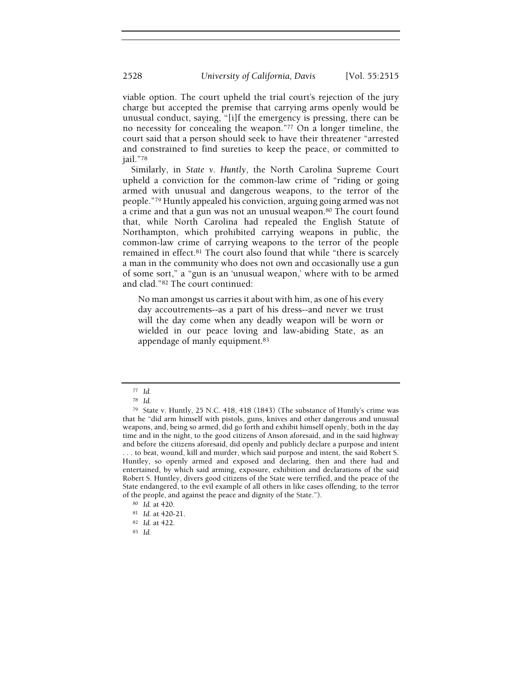viable option. The court upheld the trial court's rejection of the jury charge but accepted the premise that carrying arms openly would be unusual conduct, saying, "[i]f the emergency is pressing, there can be no necessity for concealing the weapon."<sup>77</sup> On a longer timeline, the court said that a person should seek to have their threatener "arrested and constrained to find sureties to keep the peace, or committed to jail."<sup>78</sup>

Similarly, in State v. Huntly, the North Carolina Supreme Court upheld a conviction for the common-law crime of "riding or going armed with unusual and dangerous weapons, to the terror of the people."<sup>79</sup> Huntly appealed his conviction, arguing going armed was not a crime and that a gun was not an unusual weapon.<sup>80</sup> The court found that, while North Carolina had repealed the English Statute of Northampton, which prohibited carrying weapons in public, the common-law crime of carrying weapons to the terror of the people remained in effect.<sup>81</sup> The court also found that while "there is scarcely a man in the community who does not own and occasionally use a gun of some sort," a "gun is an 'unusual weapon,' where with to be armed and clad."<sup>82</sup> The court continued:

No man amongst us carries it about with him, as one of his every day accoutrements--as a part of his dress--and never we trust will the day come when any deadly weapon will be worn or wielded in our peace loving and law-abiding State, as an appendage of manly equipment.<sup>83</sup>

<sup>77</sup> Id.

<sup>78</sup> Id.

<sup>79</sup> State v. Huntly, 25 N.C. 418, 418 (1843) (The substance of Huntly's crime was that he "did arm himself with pistols, guns, knives and other dangerous and unusual weapons, and, being so armed, did go forth and exhibit himself openly, both in the day time and in the night, to the good citizens of Anson aforesaid, and in the said highway and before the citizens aforesaid, did openly and publicly declare a purpose and intent . . . to beat, wound, kill and murder, which said purpose and intent, the said Robert S. Huntley, so openly armed and exposed and declaring, then and there had and entertained, by which said arming, exposure, exhibition and declarations of the said Robert S. Huntley, divers good citizens of the State were terrified, and the peace of the State endangered, to the evil example of all others in like cases offending, to the terror of the people, and against the peace and dignity of the State.").

<sup>80</sup> Id. at 420.

<sup>81</sup> Id. at 420-21.

<sup>82</sup> Id. at 422.

<sup>83</sup> Id.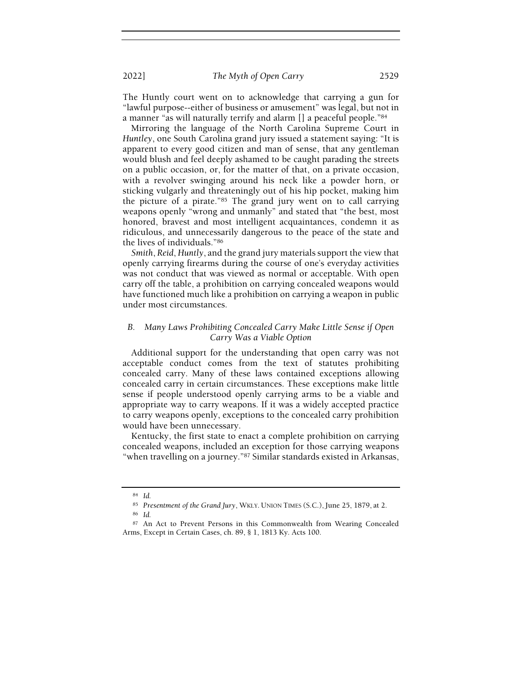The Huntly court went on to acknowledge that carrying a gun for "lawful purpose--either of business or amusement" was legal, but not in a manner "as will naturally terrify and alarm [] a peaceful people."<sup>84</sup>

Mirroring the language of the North Carolina Supreme Court in Huntley, one South Carolina grand jury issued a statement saying: "It is apparent to every good citizen and man of sense, that any gentleman would blush and feel deeply ashamed to be caught parading the streets on a public occasion, or, for the matter of that, on a private occasion, with a revolver swinging around his neck like a powder horn, or sticking vulgarly and threateningly out of his hip pocket, making him the picture of a pirate."<sup>85</sup> The grand jury went on to call carrying weapons openly "wrong and unmanly" and stated that "the best, most honored, bravest and most intelligent acquaintances, condemn it as ridiculous, and unnecessarily dangerous to the peace of the state and the lives of individuals."<sup>86</sup>

Smith, Reid, Huntly, and the grand jury materials support the view that openly carrying firearms during the course of one's everyday activities was not conduct that was viewed as normal or acceptable. With open carry off the table, a prohibition on carrying concealed weapons would have functioned much like a prohibition on carrying a weapon in public under most circumstances.

## B. Many Laws Prohibiting Concealed Carry Make Little Sense if Open Carry Was a Viable Option

Additional support for the understanding that open carry was not acceptable conduct comes from the text of statutes prohibiting concealed carry. Many of these laws contained exceptions allowing concealed carry in certain circumstances. These exceptions make little sense if people understood openly carrying arms to be a viable and appropriate way to carry weapons. If it was a widely accepted practice to carry weapons openly, exceptions to the concealed carry prohibition would have been unnecessary.

Kentucky, the first state to enact a complete prohibition on carrying concealed weapons, included an exception for those carrying weapons "when travelling on a journey."<sup>87</sup> Similar standards existed in Arkansas,

<sup>84</sup> Id.

<sup>85</sup> Presentment of the Grand Jury, WKLY. UNION TIMES (S.C.), June 25, 1879, at 2.

<sup>86</sup> Id.

<sup>87</sup> An Act to Prevent Persons in this Commonwealth from Wearing Concealed Arms, Except in Certain Cases, ch. 89, § 1, 1813 Ky. Acts 100.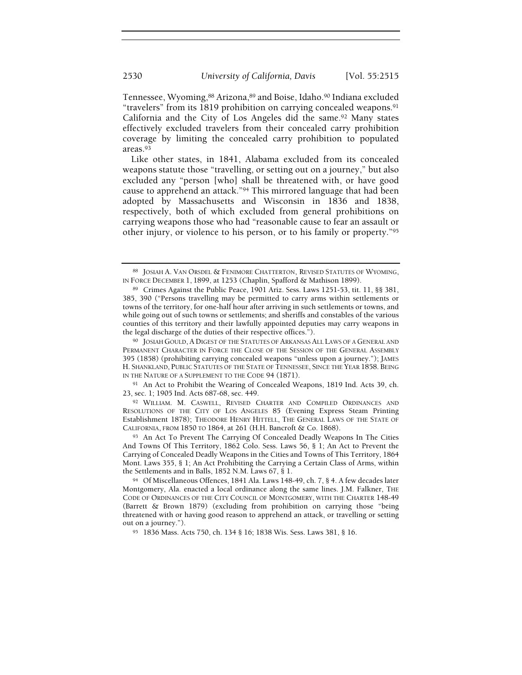Tennessee, Wyoming, 88 Arizona, 89 and Boise, Idaho. 90 Indiana excluded "travelers" from its 1819 prohibition on carrying concealed weapons.<sup>91</sup> California and the City of Los Angeles did the same.<sup>92</sup> Many states effectively excluded travelers from their concealed carry prohibition coverage by limiting the concealed carry prohibition to populated areas.<sup>93</sup>

Like other states, in 1841, Alabama excluded from its concealed weapons statute those "travelling, or setting out on a journey," but also excluded any "person [who] shall be threatened with, or have good cause to apprehend an attack."<sup>94</sup> This mirrored language that had been adopted by Massachusetts and Wisconsin in 1836 and 1838, respectively, both of which excluded from general prohibitions on carrying weapons those who had "reasonable cause to fear an assault or other injury, or violence to his person, or to his family or property."<sup>95</sup>

<sup>91</sup> An Act to Prohibit the Wearing of Concealed Weapons, 1819 Ind. Acts 39, ch. 23, sec. 1; 1905 Ind. Acts 687-68, sec. 449.

<sup>92</sup> WILLIAM. M. CASWELL, REVISED CHARTER AND COMPILED ORDINANCES AND RESOLUTIONS OF THE CITY OF LOS ANGELES 85 (Evening Express Steam Printing Establishment 1878); THEODORE HENRY HITTELL, THE GENERAL LAWS OF THE STATE OF CALIFORNIA, FROM 1850 TO 1864, at 261 (H.H. Bancroft & Co. 1868).

93 An Act To Prevent The Carrying Of Concealed Deadly Weapons In The Cities And Towns Of This Territory, 1862 Colo. Sess. Laws 56, § 1; An Act to Prevent the Carrying of Concealed Deadly Weapons in the Cities and Towns of This Territory, 1864 Mont. Laws 355, § 1; An Act Prohibiting the Carrying a Certain Class of Arms, within the Settlements and in Balls, 1852 N.M. Laws 67, § 1.

<sup>88</sup> JOSIAH A. VAN ORSDEL & FENIMORE CHATTERTON, REVISED STATUTES OF WYOMING, IN FORCE DECEMBER 1, 1899, at 1253 (Chaplin, Spafford & Mathison 1899).

<sup>89</sup> Crimes Against the Public Peace, 1901 Ariz. Sess. Laws 1251-53, tit. 11, §§ 381, 385, 390 ("Persons travelling may be permitted to carry arms within settlements or towns of the territory, for one-half hour after arriving in such settlements or towns, and while going out of such towns or settlements; and sheriffs and constables of the various counties of this territory and their lawfully appointed deputies may carry weapons in the legal discharge of the duties of their respective offices.").

<sup>90</sup> JOSIAH GOULD, A DIGEST OF THE STATUTES OF ARKANSAS ALL LAWS OF A GENERAL AND PERMANENT CHARACTER IN FORCE THE CLOSE OF THE SESSION OF THE GENERAL ASSEMBLY 395 (1858) (prohibiting carrying concealed weapons "unless upon a journey."); JAMES H. SHANKLAND, PUBLIC STATUTES OF THE STATE OF TENNESSEE, SINCE THE YEAR 1858. BEING IN THE NATURE OF A SUPPLEMENT TO THE CODE 94 (1871).

<sup>94</sup> Of Miscellaneous Offences, 1841 Ala. Laws 148-49, ch. 7, § 4. A few decades later Montgomery, Ala. enacted a local ordinance along the same lines. J.M. Falkner, THE CODE OF ORDINANCES OF THE CITY COUNCIL OF MONTGOMERY, WITH THE CHARTER 148-49 (Barrett & Brown 1879) (excluding from prohibition on carrying those "being threatened with or having good reason to apprehend an attack, or travelling or setting out on a journey.").

<sup>95</sup> 1836 Mass. Acts 750, ch. 134 § 16; 1838 Wis. Sess. Laws 381, § 16.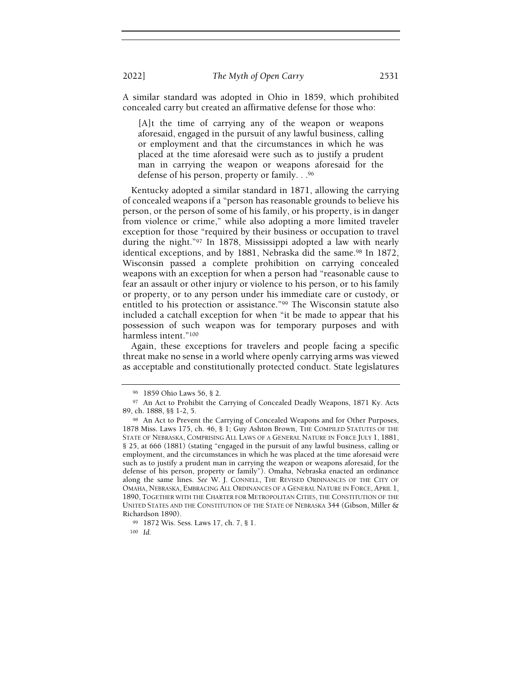A similar standard was adopted in Ohio in 1859, which prohibited concealed carry but created an affirmative defense for those who:

[A]t the time of carrying any of the weapon or weapons aforesaid, engaged in the pursuit of any lawful business, calling or employment and that the circumstances in which he was placed at the time aforesaid were such as to justify a prudent man in carrying the weapon or weapons aforesaid for the defense of his person, property or family. . .<sup>96</sup>

Kentucky adopted a similar standard in 1871, allowing the carrying of concealed weapons if a "person has reasonable grounds to believe his person, or the person of some of his family, or his property, is in danger from violence or crime," while also adopting a more limited traveler exception for those "required by their business or occupation to travel during the night."<sup>97</sup> In 1878, Mississippi adopted a law with nearly identical exceptions, and by 1881, Nebraska did the same.<sup>98</sup> In 1872, Wisconsin passed a complete prohibition on carrying concealed weapons with an exception for when a person had "reasonable cause to fear an assault or other injury or violence to his person, or to his family or property, or to any person under his immediate care or custody, or entitled to his protection or assistance."<sup>99</sup> The Wisconsin statute also included a catchall exception for when "it be made to appear that his possession of such weapon was for temporary purposes and with harmless intent."<sup>100</sup>

Again, these exceptions for travelers and people facing a specific threat make no sense in a world where openly carrying arms was viewed as acceptable and constitutionally protected conduct. State legislatures

<sup>96</sup> 1859 Ohio Laws 56, § 2.

<sup>97</sup> An Act to Prohibit the Carrying of Concealed Deadly Weapons, 1871 Ky. Acts 89, ch. 1888, §§ 1-2, 5.

<sup>98</sup> An Act to Prevent the Carrying of Concealed Weapons and for Other Purposes, 1878 Miss. Laws 175, ch. 46, § 1; Guy Ashton Brown, THE COMPILED STATUTES OF THE STATE OF NEBRASKA, COMPRISING ALL LAWS OF A GENERAL NATURE IN FORCE JULY 1, 1881, § 25, at 666 (1881) (stating "engaged in the pursuit of any lawful business, calling or employment, and the circumstances in which he was placed at the time aforesaid were such as to justify a prudent man in carrying the weapon or weapons aforesaid, for the defense of his person, property or family"). Omaha, Nebraska enacted an ordinance along the same lines. See W. J. CONNELL, THE REVISED ORDINANCES OF THE CITY OF OMAHA, NEBRASKA, EMBRACING ALL ORDINANCES OF A GENERAL NATURE IN FORCE, APRIL 1, 1890, TOGETHER WITH THE CHARTER FOR METROPOLITAN CITIES, THE CONSTITUTION OF THE UNITED STATES AND THE CONSTITUTION OF THE STATE OF NEBRASKA 344 (Gibson, Miller & Richardson 1890).

<sup>99</sup> 1872 Wis. Sess. Laws 17, ch. 7, § 1.

 $100$  Id.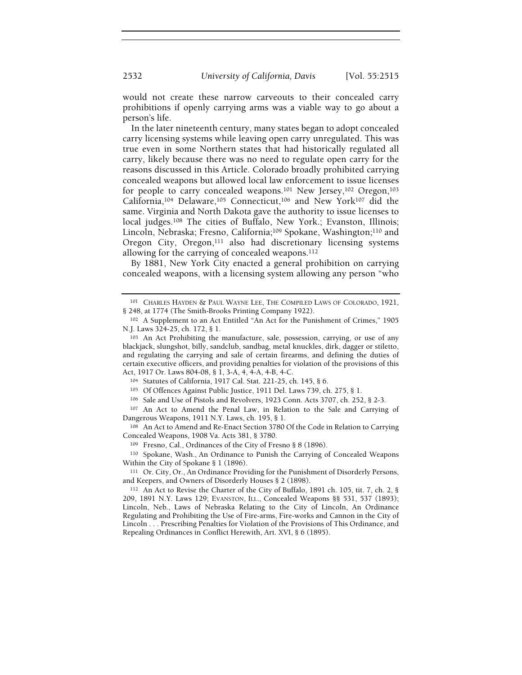would not create these narrow carveouts to their concealed carry prohibitions if openly carrying arms was a viable way to go about a person's life.

In the later nineteenth century, many states began to adopt concealed carry licensing systems while leaving open carry unregulated. This was true even in some Northern states that had historically regulated all carry, likely because there was no need to regulate open carry for the reasons discussed in this Article. Colorado broadly prohibited carrying concealed weapons but allowed local law enforcement to issue licenses for people to carry concealed weapons.<sup>101</sup> New Jersey,<sup>102</sup> Oregon,<sup>103</sup> California,<sup>104</sup> Delaware,<sup>105</sup> Connecticut,<sup>106</sup> and New York<sup>107</sup> did the same. Virginia and North Dakota gave the authority to issue licenses to local judges.<sup>108</sup> The cities of Buffalo, New York.; Evanston, Illinois; Lincoln, Nebraska; Fresno, California;<sup>109</sup> Spokane, Washington;<sup>110</sup> and Oregon City, Oregon,<sup>111</sup> also had discretionary licensing systems allowing for the carrying of concealed weapons.<sup>112</sup>

By 1881, New York City enacted a general prohibition on carrying concealed weapons, with a licensing system allowing any person "who

<sup>104</sup> Statutes of California, 1917 Cal. Stat. 221-25, ch. 145, § 6.

<sup>105</sup> Of Offences Against Public Justice, 1911 Del. Laws 739, ch. 275, § 1.

<sup>106</sup> Sale and Use of Pistols and Revolvers, 1923 Conn. Acts 3707, ch. 252, § 2-3.

<sup>107</sup> An Act to Amend the Penal Law, in Relation to the Sale and Carrying of Dangerous Weapons, 1911 N.Y. Laws, ch. 195, § 1.

<sup>108</sup> An Act to Amend and Re-Enact Section 3780 Of the Code in Relation to Carrying Concealed Weapons, 1908 Va. Acts 381, § 3780.

<sup>109</sup> Fresno, Cal., Ordinances of the City of Fresno § 8 (1896).

<sup>110</sup> Spokane, Wash., An Ordinance to Punish the Carrying of Concealed Weapons Within the City of Spokane § 1 (1896).

<sup>111</sup> Or. City, Or., An Ordinance Providing for the Punishment of Disorderly Persons, and Keepers, and Owners of Disorderly Houses § 2 (1898).

<sup>112</sup> An Act to Revise the Charter of the City of Buffalo, 1891 ch. 105, tit. 7, ch. 2, § 209, 1891 N.Y. Laws 129; EVANSTON, ILL., Concealed Weapons §§ 531, 537 (1893); Lincoln, Neb., Laws of Nebraska Relating to the City of Lincoln, An Ordinance Regulating and Prohibiting the Use of Fire-arms, Fire-works and Cannon in the City of Lincoln . . . Prescribing Penalties for Violation of the Provisions of This Ordinance, and Repealing Ordinances in Conflict Herewith, Art. XVI, § 6 (1895).

<sup>101</sup> CHARLES HAYDEN & PAUL WAYNE LEE, THE COMPILED LAWS OF COLORADO, 1921, § 248, at 1774 (The Smith-Brooks Printing Company 1922).

<sup>102</sup> A Supplement to an Act Entitled "An Act for the Punishment of Crimes," 1905 N.J. Laws 324-25, ch. 172, § 1.

<sup>103</sup> An Act Prohibiting the manufacture, sale, possession, carrying, or use of any blackjack, slungshot, billy, sandclub, sandbag, metal knuckles, dirk, dagger or stiletto, and regulating the carrying and sale of certain firearms, and defining the duties of certain executive officers, and providing penalties for violation of the provisions of this Act, 1917 Or. Laws 804-08, § 1, 3-A, 4, 4-A, 4-B, 4-C.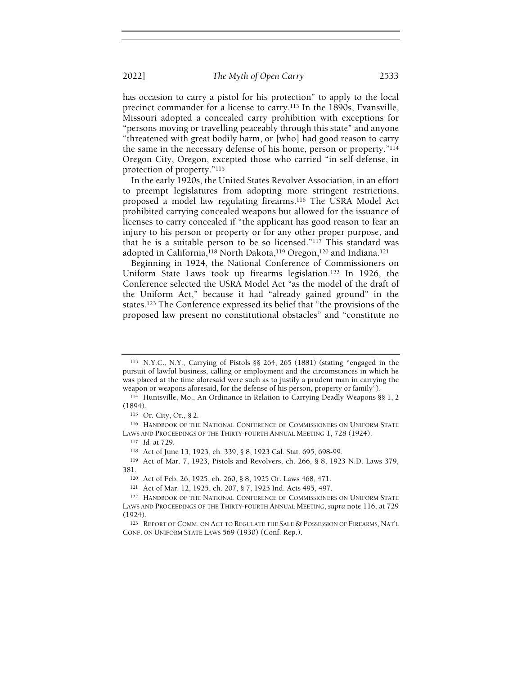has occasion to carry a pistol for his protection" to apply to the local precinct commander for a license to carry.<sup>113</sup> In the 1890s, Evansville, Missouri adopted a concealed carry prohibition with exceptions for "persons moving or travelling peaceably through this state" and anyone "threatened with great bodily harm, or [who] had good reason to carry the same in the necessary defense of his home, person or property."<sup>114</sup> Oregon City, Oregon, excepted those who carried "in self-defense, in protection of property."<sup>115</sup>

In the early 1920s, the United States Revolver Association, in an effort to preempt legislatures from adopting more stringent restrictions, proposed a model law regulating firearms.<sup>116</sup> The USRA Model Act prohibited carrying concealed weapons but allowed for the issuance of licenses to carry concealed if "the applicant has good reason to fear an injury to his person or property or for any other proper purpose, and that he is a suitable person to be so licensed."<sup>117</sup> This standard was adopted in California,<sup>118</sup> North Dakota,<sup>119</sup> Oregon,<sup>120</sup> and Indiana.<sup>121</sup>

Beginning in 1924, the National Conference of Commissioners on Uniform State Laws took up firearms legislation.<sup>122</sup> In 1926, the Conference selected the USRA Model Act "as the model of the draft of the Uniform Act," because it had "already gained ground" in the states.<sup>123</sup> The Conference expressed its belief that "the provisions of the proposed law present no constitutional obstacles" and "constitute no

<sup>113</sup> N.Y.C., N.Y., Carrying of Pistols §§ 264, 265 (1881) (stating "engaged in the pursuit of lawful business, calling or employment and the circumstances in which he was placed at the time aforesaid were such as to justify a prudent man in carrying the weapon or weapons aforesaid, for the defense of his person, property or family").

<sup>114</sup> Huntsville, Mo., An Ordinance in Relation to Carrying Deadly Weapons §§ 1, 2 (1894).

<sup>115</sup> Or. City, Or., § 2.

<sup>116</sup> HANDBOOK OF THE NATIONAL CONFERENCE OF COMMISSIONERS ON UNIFORM STATE LAWS AND PROCEEDINGS OF THE THIRTY-FOURTH ANNUAL MEETING 1, 728 (1924).

<sup>117</sup> Id. at 729.

<sup>118</sup> Act of June 13, 1923, ch. 339, § 8, 1923 Cal. Stat. 695, 698-99.

<sup>119</sup> Act of Mar. 7, 1923, Pistols and Revolvers, ch. 266, § 8, 1923 N.D. Laws 379, 381.

<sup>120</sup> Act of Feb. 26, 1925, ch. 260, § 8, 1925 Or. Laws 468, 471.

<sup>121</sup> Act of Mar. 12, 1925, ch. 207, § 7, 1925 Ind. Acts 495, 497.

<sup>122</sup> HANDBOOK OF THE NATIONAL CONFERENCE OF COMMISSIONERS ON UNIFORM STATE LAWS AND PROCEEDINGS OF THE THIRTY-FOURTH ANNUAL MEETING, supra note 116, at 729 (1924).

<sup>123</sup> REPORT OF COMM. ON ACT TO REGULATE THE SALE & POSSESSION OF FIREARMS, NAT'<sup>L</sup> CONF. ON UNIFORM STATE LAWS 569 (1930) (Conf. Rep.).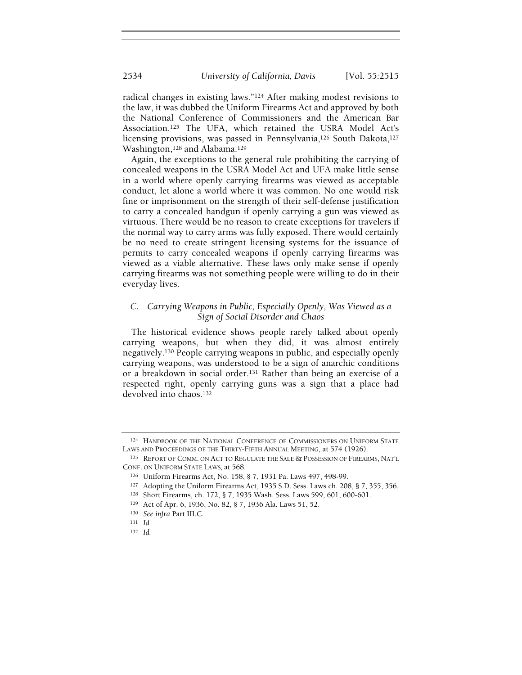radical changes in existing laws."<sup>124</sup> After making modest revisions to the law, it was dubbed the Uniform Firearms Act and approved by both the National Conference of Commissioners and the American Bar Association.<sup>125</sup> The UFA, which retained the USRA Model Act's licensing provisions, was passed in Pennsylvania,<sup>126</sup> South Dakota,<sup>127</sup> Washington,<sup>128</sup> and Alabama.<sup>129</sup>

Again, the exceptions to the general rule prohibiting the carrying of concealed weapons in the USRA Model Act and UFA make little sense in a world where openly carrying firearms was viewed as acceptable conduct, let alone a world where it was common. No one would risk fine or imprisonment on the strength of their self-defense justification to carry a concealed handgun if openly carrying a gun was viewed as virtuous. There would be no reason to create exceptions for travelers if the normal way to carry arms was fully exposed. There would certainly be no need to create stringent licensing systems for the issuance of permits to carry concealed weapons if openly carrying firearms was viewed as a viable alternative. These laws only make sense if openly carrying firearms was not something people were willing to do in their everyday lives.

# C. Carrying Weapons in Public, Especially Openly, Was Viewed as a Sign of Social Disorder and Chaos

The historical evidence shows people rarely talked about openly carrying weapons, but when they did, it was almost entirely negatively.<sup>130</sup> People carrying weapons in public, and especially openly carrying weapons, was understood to be a sign of anarchic conditions or a breakdown in social order.<sup>131</sup> Rather than being an exercise of a respected right, openly carrying guns was a sign that a place had devolved into chaos.<sup>132</sup>

<sup>124</sup> HANDBOOK OF THE NATIONAL CONFERENCE OF COMMISSIONERS ON UNIFORM STATE LAWS AND PROCEEDINGS OF THE THIRTY-FIFTH ANNUAL MEETING, at 574 (1926).

<sup>125</sup> REPORT OF COMM. ON ACT TO REGULATE THE SALE & POSSESSION OF FIREARMS, NAT'<sup>L</sup> CONF. ON UNIFORM STATE LAWS, at 568.

<sup>126</sup> Uniform Firearms Act, No. 158, § 7, 1931 Pa. Laws 497, 498-99.

<sup>127</sup> Adopting the Uniform Firearms Act, 1935 S.D. Sess. Laws ch. 208, § 7, 355, 356.

<sup>128</sup> Short Firearms, ch. 172, § 7, 1935 Wash. Sess. Laws 599, 601, 600-601.

<sup>129</sup> Act of Apr. 6, 1936, No. 82, § 7, 1936 Ala. Laws 51, 52.

<sup>130</sup> See infra Part III.C.

<sup>131</sup> Id.

<sup>132</sup> Id.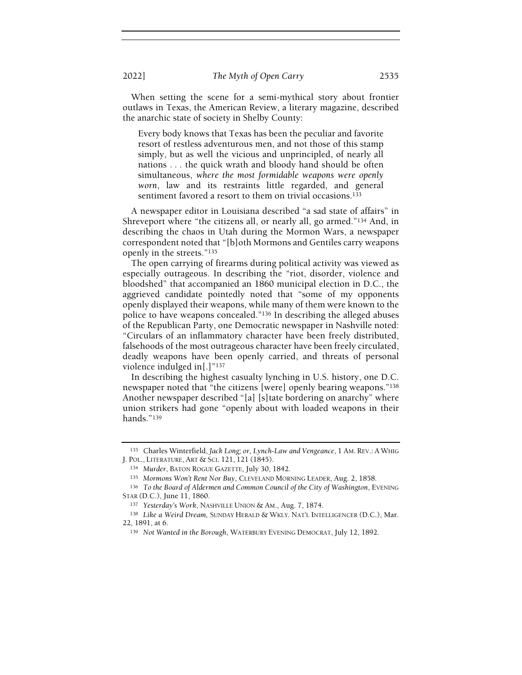When setting the scene for a semi-mythical story about frontier outlaws in Texas, the American Review, a literary magazine, described the anarchic state of society in Shelby County:

Every body knows that Texas has been the peculiar and favorite resort of restless adventurous men, and not those of this stamp simply, but as well the vicious and unprincipled, of nearly all nations . . . the quick wrath and bloody hand should be often simultaneous, where the most formidable weapons were openly worn, law and its restraints little regarded, and general sentiment favored a resort to them on trivial occasions.<sup>133</sup>

A newspaper editor in Louisiana described "a sad state of affairs" in Shreveport where "the citizens all, or nearly all, go armed."<sup>134</sup> And, in describing the chaos in Utah during the Mormon Wars, a newspaper correspondent noted that "[b]oth Mormons and Gentiles carry weapons openly in the streets."<sup>135</sup>

The open carrying of firearms during political activity was viewed as especially outrageous. In describing the "riot, disorder, violence and bloodshed" that accompanied an 1860 municipal election in D.C., the aggrieved candidate pointedly noted that "some of my opponents openly displayed their weapons, while many of them were known to the police to have weapons concealed."<sup>136</sup> In describing the alleged abuses of the Republican Party, one Democratic newspaper in Nashville noted: "Circulars of an inflammatory character have been freely distributed, falsehoods of the most outrageous character have been freely circulated, deadly weapons have been openly carried, and threats of personal violence indulged in[.]"<sup>137</sup>

In describing the highest casualty lynching in U.S. history, one D.C. newspaper noted that "the citizens [were] openly bearing weapons."<sup>138</sup> Another newspaper described "[a] [s]tate bordering on anarchy" where union strikers had gone "openly about with loaded weapons in their hands."<sup>139</sup>

<sup>133</sup> Charles Winterfield, Jack Long; or, Lynch-Law and Vengeance, 1 AM. REV.: A WHIG J. POL., LITERATURE, ART & SCI. 121, 121 (1845).

<sup>134</sup> Murder, BATON ROGUE GAZETTE, July 30, 1842.

<sup>135</sup> Mormons Won't Rent Nor Buy, CLEVELAND MORNING LEADER, Aug. 2, 1858.

<sup>136</sup> To the Board of Aldermen and Common Council of the City of Washington, EVENING STAR (D.C.), June 11, 1860.

<sup>137</sup> Yesterday's Work, NASHVILLE UNION & AM., Aug. 7, 1874.

<sup>138</sup> Like a Weird Dream, SUNDAY HERALD & WKLY. NAT'L INTELLIGENCER (D.C.), Mar. 22, 1891, at 6.

<sup>139</sup> Not Wanted in the Borough, WATERBURY EVENING DEMOCRAT, July 12, 1892.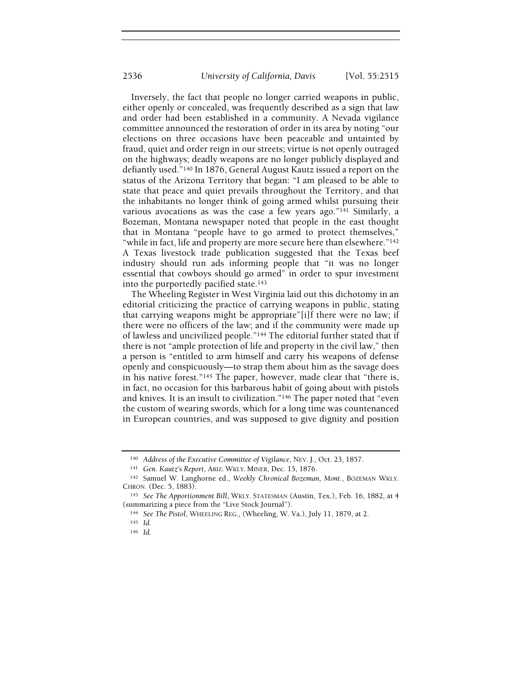Inversely, the fact that people no longer carried weapons in public, either openly or concealed, was frequently described as a sign that law and order had been established in a community. A Nevada vigilance committee announced the restoration of order in its area by noting "our elections on three occasions have been peaceable and untainted by fraud, quiet and order reign in our streets; virtue is not openly outraged on the highways; deadly weapons are no longer publicly displayed and defiantly used."<sup>140</sup> In 1876, General August Kautz issued a report on the status of the Arizona Territory that began: "I am pleased to be able to state that peace and quiet prevails throughout the Territory, and that the inhabitants no longer think of going armed whilst pursuing their various avocations as was the case a few years ago."<sup>141</sup> Similarly, a Bozeman, Montana newspaper noted that people in the east thought that in Montana "people have to go armed to protect themselves," "while in fact, life and property are more secure here than elsewhere."<sup>142</sup> A Texas livestock trade publication suggested that the Texas beef industry should run ads informing people that "it was no longer essential that cowboys should go armed" in order to spur investment into the purportedly pacified state.<sup>143</sup>

The Wheeling Register in West Virginia laid out this dichotomy in an editorial criticizing the practice of carrying weapons in public, stating that carrying weapons might be appropriate"[i]f there were no law; if there were no officers of the law; and if the community were made up of lawless and uncivilized people."<sup>144</sup> The editorial further stated that if there is not "ample protection of life and property in the civil law," then a person is "entitled to arm himself and carry his weapons of defense openly and conspicuously—to strap them about him as the savage does in his native forest."<sup>145</sup> The paper, however, made clear that "there is, in fact, no occasion for this barbarous habit of going about with pistols and knives. It is an insult to civilization."<sup>146</sup> The paper noted that "even the custom of wearing swords, which for a long time was countenanced in European countries, and was supposed to give dignity and position

<sup>140</sup> Address of the Executive Committee of Vigilance, NEV. J., Oct. 23, 1857.

<sup>141</sup> Gen. Kautz's Report, ARIZ. WKLY. MINER, Dec. 15, 1876.

<sup>142</sup> Samuel W. Langhorne ed., Weekly Chronical Bozeman, Mont., BOZEMAN WKLY. CHRON. (Dec. 5, 1883).

<sup>&</sup>lt;sup>143</sup> See The Apportionment Bill, WKLY. STATESMAN (Austin, Tex.), Feb. 16, 1882, at 4 (summarizing a piece from the "Live Stock Journal").

<sup>144</sup> See The Pistol, WHEELING REG., (Wheeling, W. Va.), July 11, 1879, at 2.

<sup>145</sup> Id.

<sup>146</sup> Id.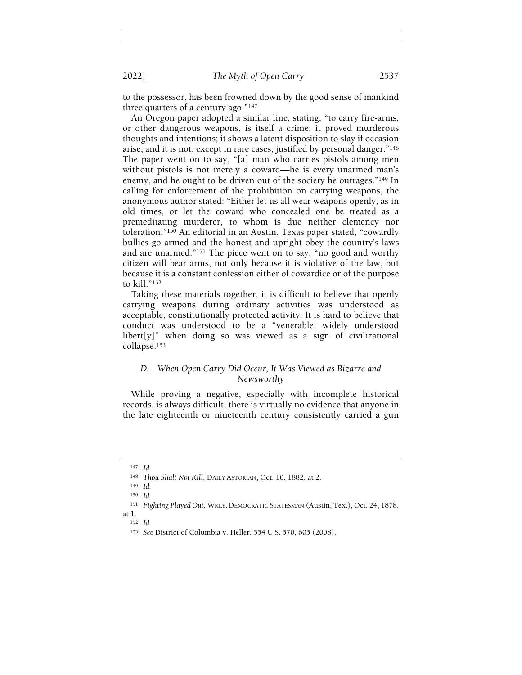to the possessor, has been frowned down by the good sense of mankind three quarters of a century ago." $147$ 

An Oregon paper adopted a similar line, stating, "to carry fire-arms, or other dangerous weapons, is itself a crime; it proved murderous thoughts and intentions; it shows a latent disposition to slay if occasion arise, and it is not, except in rare cases, justified by personal danger."<sup>148</sup> The paper went on to say, "[a] man who carries pistols among men without pistols is not merely a coward—he is every unarmed man's enemy, and he ought to be driven out of the society he outrages."<sup>149</sup> In calling for enforcement of the prohibition on carrying weapons, the anonymous author stated: "Either let us all wear weapons openly, as in old times, or let the coward who concealed one be treated as a premeditating murderer, to whom is due neither clemency nor toleration."<sup>150</sup> An editorial in an Austin, Texas paper stated, "cowardly bullies go armed and the honest and upright obey the country's laws and are unarmed."<sup>151</sup> The piece went on to say, "no good and worthy citizen will bear arms, not only because it is violative of the law, but because it is a constant confession either of cowardice or of the purpose to kill."<sup>152</sup>

Taking these materials together, it is difficult to believe that openly carrying weapons during ordinary activities was understood as acceptable, constitutionally protected activity. It is hard to believe that conduct was understood to be a "venerable, widely understood  $libert[y]$ " when doing so was viewed as a sign of civilizational collapse.<sup>153</sup>

## D. When Open Carry Did Occur, It Was Viewed as Bizarre and Newsworthy

While proving a negative, especially with incomplete historical records, is always difficult, there is virtually no evidence that anyone in the late eighteenth or nineteenth century consistently carried a gun

<sup>147</sup> Id.

<sup>148</sup> Thou Shalt Not Kill, DAILY ASTORIAN, Oct. 10, 1882, at 2.

<sup>149</sup> Id.

<sup>150</sup> Id.

<sup>151</sup> Fighting Played Out, WKLY. DEMOCRATIC STATESMAN (Austin, Tex.), Oct. 24, 1878,

at 1.

<sup>152</sup> Id.

<sup>153</sup> See District of Columbia v. Heller, 554 U.S. 570, 605 (2008).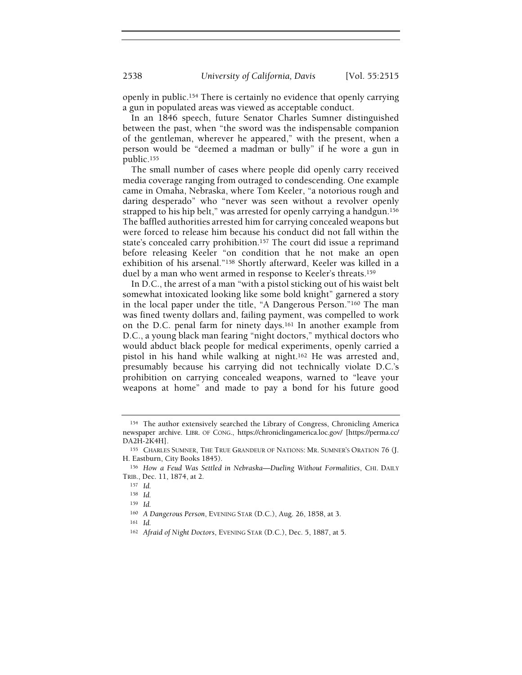openly in public.<sup>154</sup> There is certainly no evidence that openly carrying a gun in populated areas was viewed as acceptable conduct.

In an 1846 speech, future Senator Charles Sumner distinguished between the past, when "the sword was the indispensable companion of the gentleman, wherever he appeared," with the present, when a person would be "deemed a madman or bully" if he wore a gun in public.<sup>155</sup>

The small number of cases where people did openly carry received media coverage ranging from outraged to condescending. One example came in Omaha, Nebraska, where Tom Keeler, "a notorious rough and daring desperado" who "never was seen without a revolver openly strapped to his hip belt," was arrested for openly carrying a handgun.<sup>156</sup> The baffled authorities arrested him for carrying concealed weapons but were forced to release him because his conduct did not fall within the state's concealed carry prohibition.<sup>157</sup> The court did issue a reprimand before releasing Keeler "on condition that he not make an open exhibition of his arsenal."<sup>158</sup> Shortly afterward, Keeler was killed in a duel by a man who went armed in response to Keeler's threats.<sup>159</sup>

In D.C., the arrest of a man "with a pistol sticking out of his waist belt somewhat intoxicated looking like some bold knight" garnered a story in the local paper under the title, "A Dangerous Person."<sup>160</sup> The man was fined twenty dollars and, failing payment, was compelled to work on the D.C. penal farm for ninety days.<sup>161</sup> In another example from D.C., a young black man fearing "night doctors," mythical doctors who would abduct black people for medical experiments, openly carried a pistol in his hand while walking at night.<sup>162</sup> He was arrested and, presumably because his carrying did not technically violate D.C.'s prohibition on carrying concealed weapons, warned to "leave your weapons at home" and made to pay a bond for his future good

<sup>154</sup> The author extensively searched the Library of Congress, Chronicling America newspaper archive. LIBR. OF CONG., https://chroniclingamerica.loc.gov/ [https://perma.cc/ DA2H-2K4H].

<sup>155</sup> CHARLES SUMNER, THE TRUE GRANDEUR OF NATIONS: MR. SUMNER'S ORATION 76 (J. H. Eastburn, City Books 1845).

<sup>156</sup> How a Feud Was Settled in Nebraska-Dueling Without Formalities, CHI. DAILY TRIB., Dec. 11, 1874, at 2.

<sup>157</sup> Id.

<sup>158</sup> Id.

<sup>159</sup> Id.

<sup>160</sup> A Dangerous Person, EVENING STAR (D.C.), Aug. 26, 1858, at 3.

<sup>161</sup> Id.

<sup>162</sup> Afraid of Night Doctors, EVENING STAR (D.C.), Dec. 5, 1887, at 5.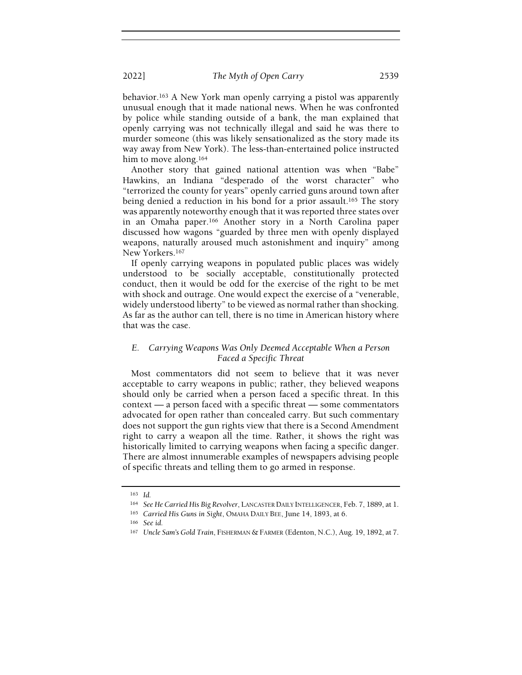behavior.<sup>163</sup> A New York man openly carrying a pistol was apparently unusual enough that it made national news. When he was confronted by police while standing outside of a bank, the man explained that openly carrying was not technically illegal and said he was there to murder someone (this was likely sensationalized as the story made its way away from New York). The less-than-entertained police instructed him to move along.<sup>164</sup>

Another story that gained national attention was when "Babe" Hawkins, an Indiana "desperado of the worst character" who "terrorized the county for years" openly carried guns around town after being denied a reduction in his bond for a prior assault.<sup>165</sup> The story was apparently noteworthy enough that it was reported three states over in an Omaha paper.<sup>166</sup> Another story in a North Carolina paper discussed how wagons "guarded by three men with openly displayed weapons, naturally aroused much astonishment and inquiry" among New Yorkers.<sup>167</sup>

If openly carrying weapons in populated public places was widely understood to be socially acceptable, constitutionally protected conduct, then it would be odd for the exercise of the right to be met with shock and outrage. One would expect the exercise of a "venerable, widely understood liberty" to be viewed as normal rather than shocking. As far as the author can tell, there is no time in American history where that was the case.

## E. Carrying Weapons Was Only Deemed Acceptable When a Person Faced a Specific Threat

Most commentators did not seem to believe that it was never acceptable to carry weapons in public; rather, they believed weapons should only be carried when a person faced a specific threat. In this context — a person faced with a specific threat — some commentators advocated for open rather than concealed carry. But such commentary does not support the gun rights view that there is a Second Amendment right to carry a weapon all the time. Rather, it shows the right was historically limited to carrying weapons when facing a specific danger. There are almost innumerable examples of newspapers advising people of specific threats and telling them to go armed in response.

<sup>163</sup> Id.

<sup>164</sup> See He Carried His Big Revolver, LANCASTER DAILY INTELLIGENCER, Feb. 7, 1889, at 1.

<sup>165</sup> Carried His Guns in Sight, OMAHA DAILY BEE, June 14, 1893, at 6.

<sup>166</sup> See id.

<sup>167</sup> Uncle Sam's Gold Train, FISHERMAN & FARMER (Edenton, N.C.), Aug. 19, 1892, at 7.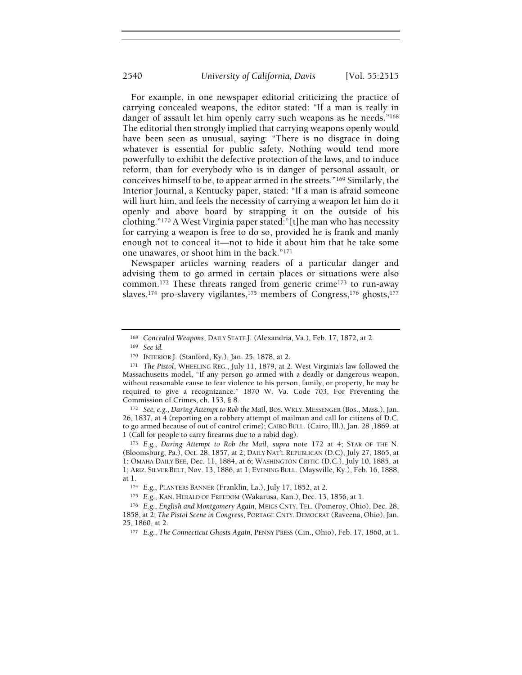For example, in one newspaper editorial criticizing the practice of carrying concealed weapons, the editor stated: "If a man is really in danger of assault let him openly carry such weapons as he needs."<sup>168</sup> The editorial then strongly implied that carrying weapons openly would have been seen as unusual, saying: "There is no disgrace in doing whatever is essential for public safety. Nothing would tend more powerfully to exhibit the defective protection of the laws, and to induce reform, than for everybody who is in danger of personal assault, or conceives himself to be, to appear armed in the streets."<sup>169</sup> Similarly, the Interior Journal, a Kentucky paper, stated: "If a man is afraid someone will hurt him, and feels the necessity of carrying a weapon let him do it openly and above board by strapping it on the outside of his clothing."<sup>170</sup> A West Virginia paper stated:"[t]he man who has necessity for carrying a weapon is free to do so, provided he is frank and manly enough not to conceal it—not to hide it about him that he take some one unawares, or shoot him in the back."<sup>171</sup>

Newspaper articles warning readers of a particular danger and advising them to go armed in certain places or situations were also common.<sup>172</sup> These threats ranged from generic crime<sup>173</sup> to run-away slaves,<sup>174</sup> pro-slavery vigilantes,<sup>175</sup> members of Congress,<sup>176</sup> ghosts,<sup>177</sup>

<sup>169</sup> See id.

<sup>172</sup> See, e.g., Daring Attempt to Rob the Mail, BOS. WKLY. MESSENGER (Bos., Mass.), Jan. 26, 1837, at 4 (reporting on a robbery attempt of mailman and call for citizens of D.C. to go armed because of out of control crime); CAIRO BULL. (Cairo, Ill.), Jan. 28 ,1869. at 1 (Call for people to carry firearms due to a rabid dog).

<sup>168</sup> Concealed Weapons, DAILY STATE J. (Alexandria, Va.), Feb. 17, 1872, at 2.

<sup>170</sup> INTERIOR J. (Stanford, Ky.), Jan. 25, 1878, at 2.

<sup>171</sup> The Pistol, WHEELING REG., July 11, 1879, at 2. West Virginia's law followed the Massachusetts model, "If any person go armed with a deadly or dangerous weapon, without reasonable cause to fear violence to his person, family, or property, he may be required to give a recognizance." 1870 W. Va. Code 703, For Preventing the Commission of Crimes, ch. 153, § 8.

<sup>&</sup>lt;sup>173</sup> E.g., Daring Attempt to Rob the Mail, supra note 172 at 4; STAR OF THE N. (Bloomsburg, Pa.), Oct. 28, 1857, at 2; DAILY NAT'L REPUBLICAN (D.C), July 27, 1865, at 1; OMAHA DAILY BEE, Dec. 11, 1884, at 6; WASHINGTON CRITIC (D.C.), July 10, 1885, at 1; ARIZ. SILVER BELT, Nov. 13, 1886, at 1; EVENING BULL. (Maysville, Ky.), Feb. 16, 1888, at 1.

<sup>174</sup> E.g., PLANTERS BANNER (Franklin, La.), July 17, 1852, at 2.

<sup>175</sup> E.g., KAN. HERALD OF FREEDOM (Wakarusa, Kan.), Dec. 13, 1856, at 1.

<sup>176</sup> E.g., English and Montgomery Again, MEIGS CNTY. TEL. (Pomeroy, Ohio), Dec. 28, 1858, at 2; The Pistol Scene in Congress, PORTAGE CNTY. DEMOCRAT (Raveena, Ohio), Jan. 25, 1860, at 2.

<sup>177</sup> E.g., The Connecticut Ghosts Again, PENNY PRESS (Cin., Ohio), Feb. 17, 1860, at 1.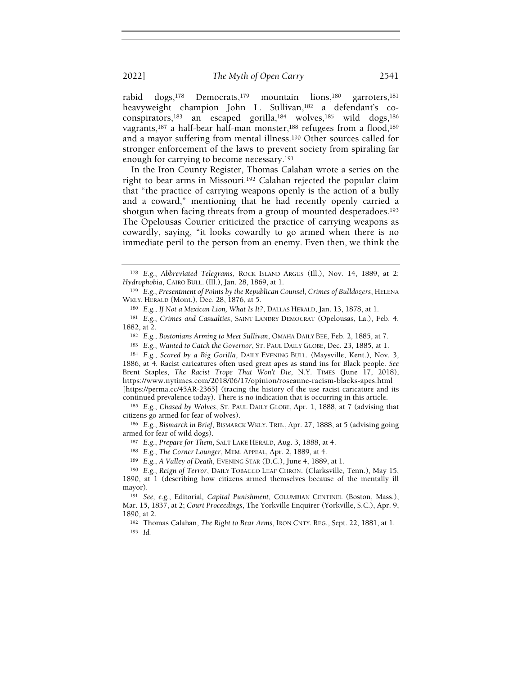rabid dogs,<sup>178</sup> Democrats,<sup>179</sup> mountain lions,<sup>180</sup> garroters,<sup>181</sup> heavyweight champion John L. Sullivan,<sup>182</sup> a defendant's coconspirators,<sup>183</sup> an escaped gorilla,<sup>184</sup> wolves,<sup>185</sup> wild dogs,<sup>186</sup> vagrants,<sup>187</sup> a half-bear half-man monster,<sup>188</sup> refugees from a flood,<sup>189</sup> and a mayor suffering from mental illness.<sup>190</sup> Other sources called for stronger enforcement of the laws to prevent society from spiraling far enough for carrying to become necessary.<sup>191</sup>

In the Iron County Register, Thomas Calahan wrote a series on the right to bear arms in Missouri.<sup>192</sup> Calahan rejected the popular claim that "the practice of carrying weapons openly is the action of a bully and a coward," mentioning that he had recently openly carried a shotgun when facing threats from a group of mounted desperadoes.<sup>193</sup> The Opelousas Courier criticized the practice of carrying weapons as cowardly, saying, "it looks cowardly to go armed when there is no immediate peril to the person from an enemy. Even then, we think the

<sup>178</sup> E.g., Abbreviated Telegrams, ROCK ISLAND ARGUS (Ill.), Nov. 14, 1889, at 2; Hydrophobia, CAIRO BULL. (Ill.), Jan. 28, 1869, at 1.

<sup>&</sup>lt;sup>179</sup> E.g., Presentment of Points by the Republican Counsel, Crimes of Bulldozers, HELENA WKLY. HERALD (Mont.), Dec. 28, 1876, at 5.

<sup>180</sup> E.g., If Not a Mexican Lion, What Is It?, DALLAS HERALD, Jan. 13, 1878, at 1.

<sup>181</sup> E.g., Crimes and Casualties, SAINT LANDRY DEMOCRAT (Opelousas, La.), Feb. 4, 1882, at 2.

<sup>182</sup> E.g., Bostonians Arming to Meet Sullivan, OMAHA DAILY BEE, Feb. 2, 1885, at 7.

<sup>183</sup> E.g., Wanted to Catch the Governor, ST. PAUL DAILY GLOBE, Dec. 23, 1885, at 1.

<sup>184</sup> E.g., Scared by a Big Gorilla, DAILY EVENING BULL. (Maysville, Kent.), Nov. 3, 1886, at 4. Racist caricatures often used great apes as stand ins for Black people. See Brent Staples, The Racist Trope That Won't Die, N.Y. TIMES (June 17, 2018), https://www.nytimes.com/2018/06/17/opinion/roseanne-racism-blacks-apes.html [https://perma.cc/45AR-2365] (tracing the history of the use racist caricature and its continued prevalence today). There is no indication that is occurring in this article.

<sup>185</sup> E.g., Chased by Wolves, ST. PAUL DAILY GLOBE, Apr. 1, 1888, at 7 (advising that citizens go armed for fear of wolves).

<sup>186</sup> E.g., Bismarck in Brief, BISMARCK WKLY. TRIB., Apr. 27, 1888, at 5 (advising going armed for fear of wild dogs).

<sup>187</sup> E.g., Prepare for Them, SALT LAKE HERALD, Aug. 3, 1888, at 4.

<sup>188</sup> E.g., The Corner Lounger, MEM. APPEAL, Apr. 2, 1889, at 4.

<sup>189</sup> E.g., A Valley of Death, EVENING STAR (D.C.), June 4, 1889, at 1.

<sup>190</sup> E.g., Reign of Terror, DAILY TOBACCO LEAF CHRON. (Clarksville, Tenn.), May 15, 1890, at 1 (describing how citizens armed themselves because of the mentally ill mayor).

<sup>191</sup> See, e.g., Editorial, Capital Punishment, COLUMBIAN CENTINEL (Boston, Mass.), Mar. 15, 1837, at 2; Court Proceedings, The Yorkville Enquirer (Yorkville, S.C.), Apr. 9, 1890, at 2.

<sup>192</sup> Thomas Calahan, The Right to Bear Arms, IRON CNTY. REG., Sept. 22, 1881, at 1. <sup>193</sup> Id.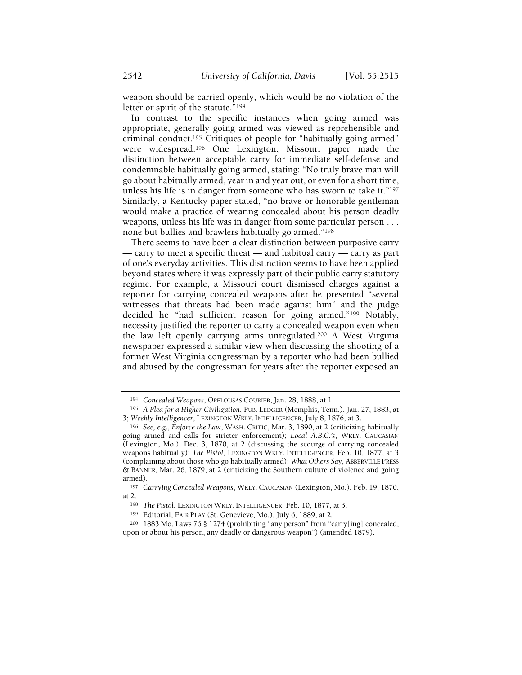2542 University of California, Davis [Vol. 55:2515

weapon should be carried openly, which would be no violation of the letter or spirit of the statute."<sup>194</sup>

In contrast to the specific instances when going armed was appropriate, generally going armed was viewed as reprehensible and criminal conduct.<sup>195</sup> Critiques of people for "habitually going armed" were widespread.<sup>196</sup> One Lexington, Missouri paper made the distinction between acceptable carry for immediate self-defense and condemnable habitually going armed, stating: "No truly brave man will go about habitually armed, year in and year out, or even for a short time, unless his life is in danger from someone who has sworn to take it."<sup>197</sup> Similarly, a Kentucky paper stated, "no brave or honorable gentleman would make a practice of wearing concealed about his person deadly weapons, unless his life was in danger from some particular person . . . none but bullies and brawlers habitually go armed."<sup>198</sup>

There seems to have been a clear distinction between purposive carry — carry to meet a specific threat — and habitual carry — carry as part of one's everyday activities. This distinction seems to have been applied beyond states where it was expressly part of their public carry statutory regime. For example, a Missouri court dismissed charges against a reporter for carrying concealed weapons after he presented "several witnesses that threats had been made against him" and the judge decided he "had sufficient reason for going armed."<sup>199</sup> Notably, necessity justified the reporter to carry a concealed weapon even when the law left openly carrying arms unregulated.<sup>200</sup> A West Virginia newspaper expressed a similar view when discussing the shooting of a former West Virginia congressman by a reporter who had been bullied and abused by the congressman for years after the reporter exposed an

<sup>194</sup> Concealed Weapons, OPELOUSAS COURIER, Jan. 28, 1888, at 1.

<sup>195</sup> A Plea for a Higher Civilization, PUB. LEDGER (Memphis, Tenn.), Jan. 27, 1883, at 3; Weekly Intelligencer, LEXINGTON WKLY. INTELLIGENCER, July 8, 1876, at 3.

<sup>196</sup> See, e.g., Enforce the Law, WASH. CRITIC, Mar. 3, 1890, at 2 (criticizing habitually going armed and calls for stricter enforcement); Local A.B.C.'s, WKLY. CAUCASIAN (Lexington, Mo.), Dec. 3, 1870, at 2 (discussing the scourge of carrying concealed weapons habitually); The Pistol, LEXINGTON WKLY. INTELLIGENCER, Feb. 10, 1877, at 3 (complaining about those who go habitually armed); What Others Say, ABBERVILLE PRESS & BANNER, Mar. 26, 1879, at 2 (criticizing the Southern culture of violence and going armed).

<sup>197</sup> Carrying Concealed Weapons, WKLY. CAUCASIAN (Lexington, Mo.), Feb. 19, 1870, at 2.

<sup>198</sup> The Pistol, LEXINGTON WKLY. INTELLIGENCER, Feb. 10, 1877, at 3.

<sup>199</sup> Editorial, FAIR PLAY (St. Genevieve, Mo.), July 6, 1889, at 2.

<sup>200</sup> 1883 Mo. Laws 76 § 1274 (prohibiting "any person" from "carry[ing] concealed, upon or about his person, any deadly or dangerous weapon") (amended 1879).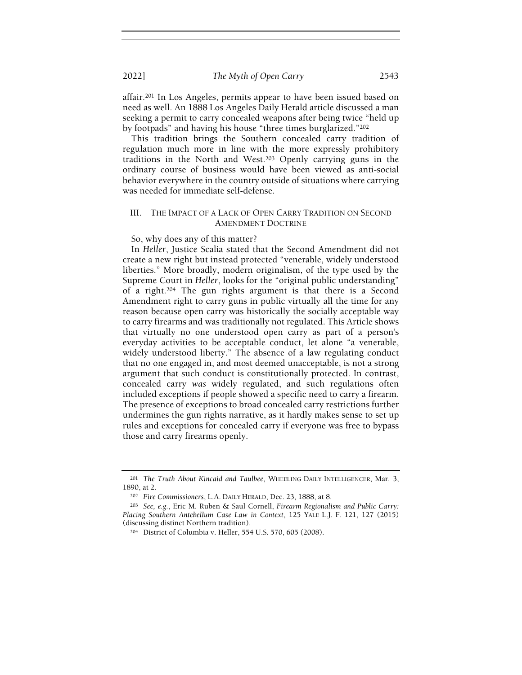affair.<sup>201</sup> In Los Angeles, permits appear to have been issued based on need as well. An 1888 Los Angeles Daily Herald article discussed a man seeking a permit to carry concealed weapons after being twice "held up by footpads" and having his house "three times burglarized."<sup>202</sup>

This tradition brings the Southern concealed carry tradition of regulation much more in line with the more expressly prohibitory traditions in the North and West.<sup>203</sup> Openly carrying guns in the ordinary course of business would have been viewed as anti-social behavior everywhere in the country outside of situations where carrying was needed for immediate self-defense.

#### III. THE IMPACT OF A LACK OF OPEN CARRY TRADITION ON SECOND AMENDMENT DOCTRINE

So, why does any of this matter?

In Heller, Justice Scalia stated that the Second Amendment did not create a new right but instead protected "venerable, widely understood liberties." More broadly, modern originalism, of the type used by the Supreme Court in Heller, looks for the "original public understanding" of a right.<sup>204</sup> The gun rights argument is that there is a Second Amendment right to carry guns in public virtually all the time for any reason because open carry was historically the socially acceptable way to carry firearms and was traditionally not regulated. This Article shows that virtually no one understood open carry as part of a person's everyday activities to be acceptable conduct, let alone "a venerable, widely understood liberty." The absence of a law regulating conduct that no one engaged in, and most deemed unacceptable, is not a strong argument that such conduct is constitutionally protected. In contrast, concealed carry was widely regulated, and such regulations often included exceptions if people showed a specific need to carry a firearm. The presence of exceptions to broad concealed carry restrictions further undermines the gun rights narrative, as it hardly makes sense to set up rules and exceptions for concealed carry if everyone was free to bypass those and carry firearms openly.

<sup>&</sup>lt;sup>201</sup> The Truth About Kincaid and Taulbee, WHEELING DAILY INTELLIGENCER, Mar. 3, 1890, at 2.

<sup>202</sup> Fire Commissioners, L.A. DAILY HERALD, Dec. 23, 1888, at 8.

<sup>203</sup> See, e.g., Eric M. Ruben & Saul Cornell, Firearm Regionalism and Public Carry: Placing Southern Antebellum Case Law in Context, 125 YALE L.J. F. 121, 127 (2015) (discussing distinct Northern tradition).

<sup>204</sup> District of Columbia v. Heller, 554 U.S. 570, 605 (2008).